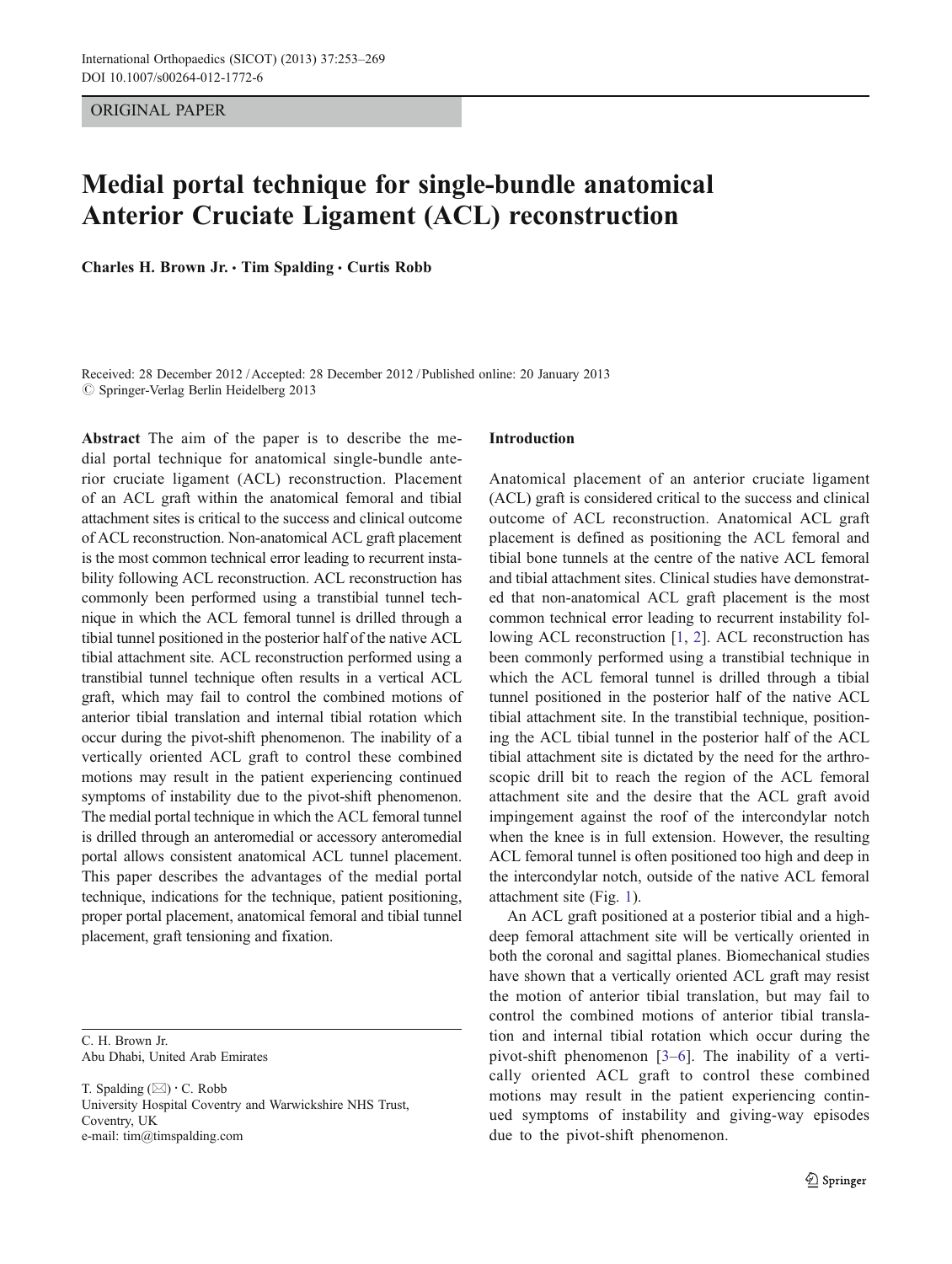ORIGINAL PAPER

# Medial portal technique for single-bundle anatomical Anterior Cruciate Ligament (ACL) reconstruction

Charles H. Brown Jr.  $\cdot$  Tim Spalding  $\cdot$  Curtis Robb

Received: 28 December 2012 /Accepted: 28 December 2012 / Published online: 20 January 2013  $\oslash$  Springer-Verlag Berlin Heidelberg 2013

Abstract The aim of the paper is to describe the medial portal technique for anatomical single-bundle anterior cruciate ligament (ACL) reconstruction. Placement of an ACL graft within the anatomical femoral and tibial attachment sites is critical to the success and clinical outcome of ACL reconstruction. Non-anatomical ACL graft placement is the most common technical error leading to recurrent instability following ACL reconstruction. ACL reconstruction has commonly been performed using a transtibial tunnel technique in which the ACL femoral tunnel is drilled through a tibial tunnel positioned in the posterior half of the native ACL tibial attachment site. ACL reconstruction performed using a transtibial tunnel technique often results in a vertical ACL graft, which may fail to control the combined motions of anterior tibial translation and internal tibial rotation which occur during the pivot-shift phenomenon. The inability of a vertically oriented ACL graft to control these combined motions may result in the patient experiencing continued symptoms of instability due to the pivot-shift phenomenon. The medial portal technique in which the ACL femoral tunnel is drilled through an anteromedial or accessory anteromedial portal allows consistent anatomical ACL tunnel placement. This paper describes the advantages of the medial portal technique, indications for the technique, patient positioning, proper portal placement, anatomical femoral and tibial tunnel placement, graft tensioning and fixation.

C. H. Brown Jr. Abu Dhabi, United Arab Emirates

T. Spalding  $(\boxtimes) \cdot C$ . Robb University Hospital Coventry and Warwickshire NHS Trust, Coventry, UK e-mail: tim@timspalding.com

## Introduction

Anatomical placement of an anterior cruciate ligament (ACL) graft is considered critical to the success and clinical outcome of ACL reconstruction. Anatomical ACL graft placement is defined as positioning the ACL femoral and tibial bone tunnels at the centre of the native ACL femoral and tibial attachment sites. Clinical studies have demonstrated that non-anatomical ACL graft placement is the most common technical error leading to recurrent instability following ACL reconstruction [\[1](#page-16-0), [2](#page-16-1)]. ACL reconstruction has been commonly performed using a transtibial technique in which the ACL femoral tunnel is drilled through a tibial tunnel positioned in the posterior half of the native ACL tibial attachment site. In the transtibial technique, positioning the ACL tibial tunnel in the posterior half of the ACL tibial attachment site is dictated by the need for the arthroscopic drill bit to reach the region of the ACL femoral attachment site and the desire that the ACL graft avoid impingement against the roof of the intercondylar notch when the knee is in full extension. However, the resulting ACL femoral tunnel is often positioned too high and deep in the intercondylar notch, outside of the native ACL femoral attachment site (Fig. [1\)](#page-1-0).

An ACL graft positioned at a posterior tibial and a highdeep femoral attachment site will be vertically oriented in both the coronal and sagittal planes. Biomechanical studies have shown that a vertically oriented ACL graft may resist the motion of anterior tibial translation, but may fail to control the combined motions of anterior tibial translation and internal tibial rotation which occur during the pivot-shift phenomenon [[3](#page-16-2)–[6](#page-16-3)]. The inability of a vertically oriented ACL graft to control these combined motions may result in the patient experiencing continued symptoms of instability and giving-way episodes due to the pivot-shift phenomenon.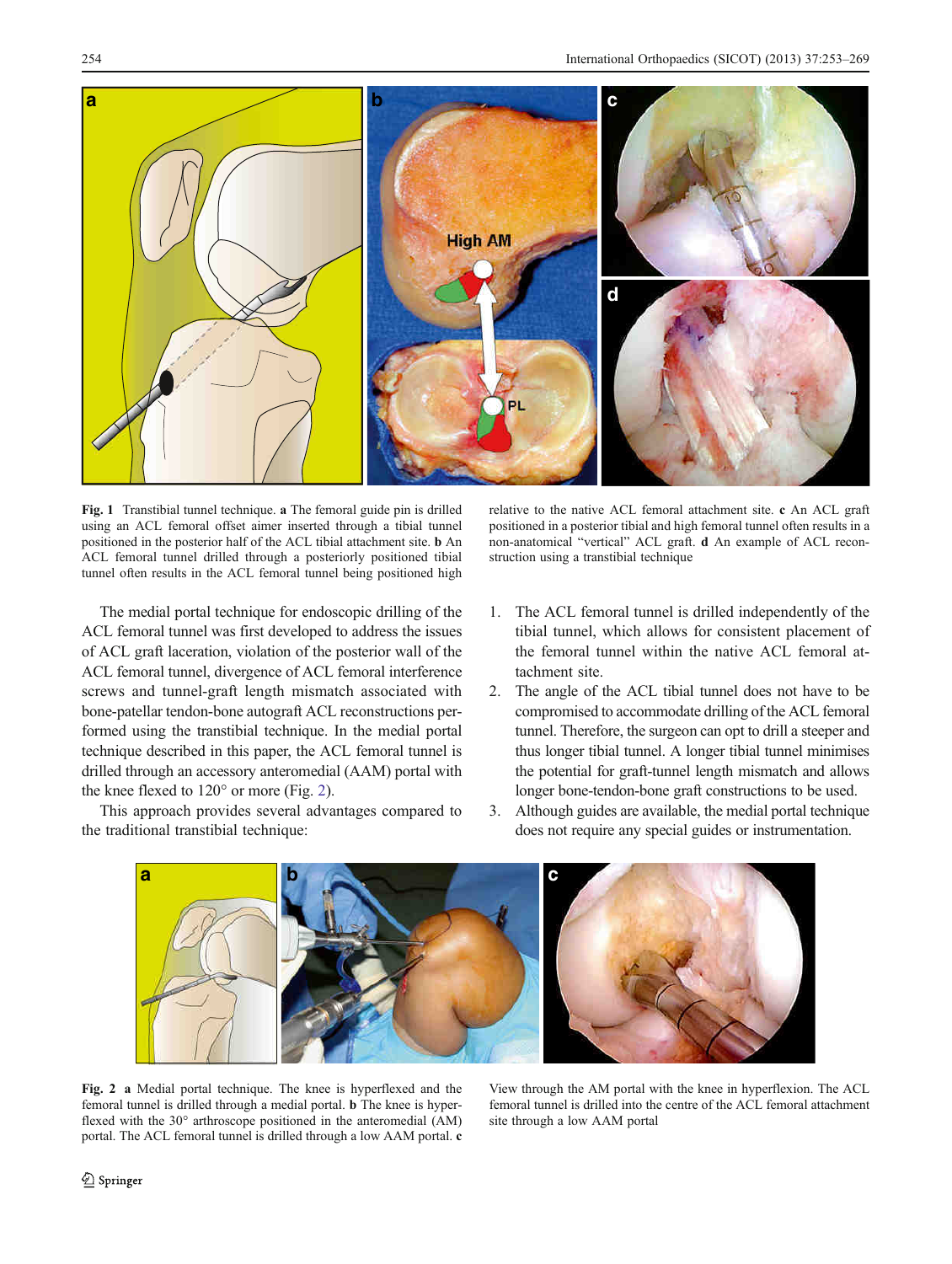

The medial portal technique for endoscopic drilling of the ACL femoral tunnel was first developed to address the issues of ACL graft laceration, violation of the posterior wall of the ACL femoral tunnel, divergence of ACL femoral interference screws and tunnel-graft length mismatch associated with bone-patellar tendon-bone autograft ACL reconstructions performed using the transtibial technique. In the medial portal technique described in this paper, the ACL femoral tunnel is drilled through an accessory anteromedial (AAM) portal with the knee flexed to 120° or more (Fig. [2\)](#page-1-0).

This approach provides several advantages compared to the traditional transtibial technique:

- relative to the native ACL femoral attachment site. c An ACL graft positioned in a posterior tibial and high femoral tunnel often results in a non-anatomical "vertical" ACL graft. d An example of ACL reconstruction using a transtibial technique
- 1. The ACL femoral tunnel is drilled independently of the tibial tunnel, which allows for consistent placement of the femoral tunnel within the native ACL femoral attachment site.
- 2. The angle of the ACL tibial tunnel does not have to be compromised to accommodate drilling of the ACL femoral tunnel. Therefore, the surgeon can opt to drill a steeper and thus longer tibial tunnel. A longer tibial tunnel minimises the potential for graft-tunnel length mismatch and allows longer bone-tendon-bone graft constructions to be used.
- 3. Although guides are available, the medial portal technique does not require any special guides or instrumentation.

View through the AM portal with the knee in hyperflexion. The ACL femoral tunnel is drilled into the centre of the ACL femoral attachment site through a low AAM portal



<span id="page-1-0"></span>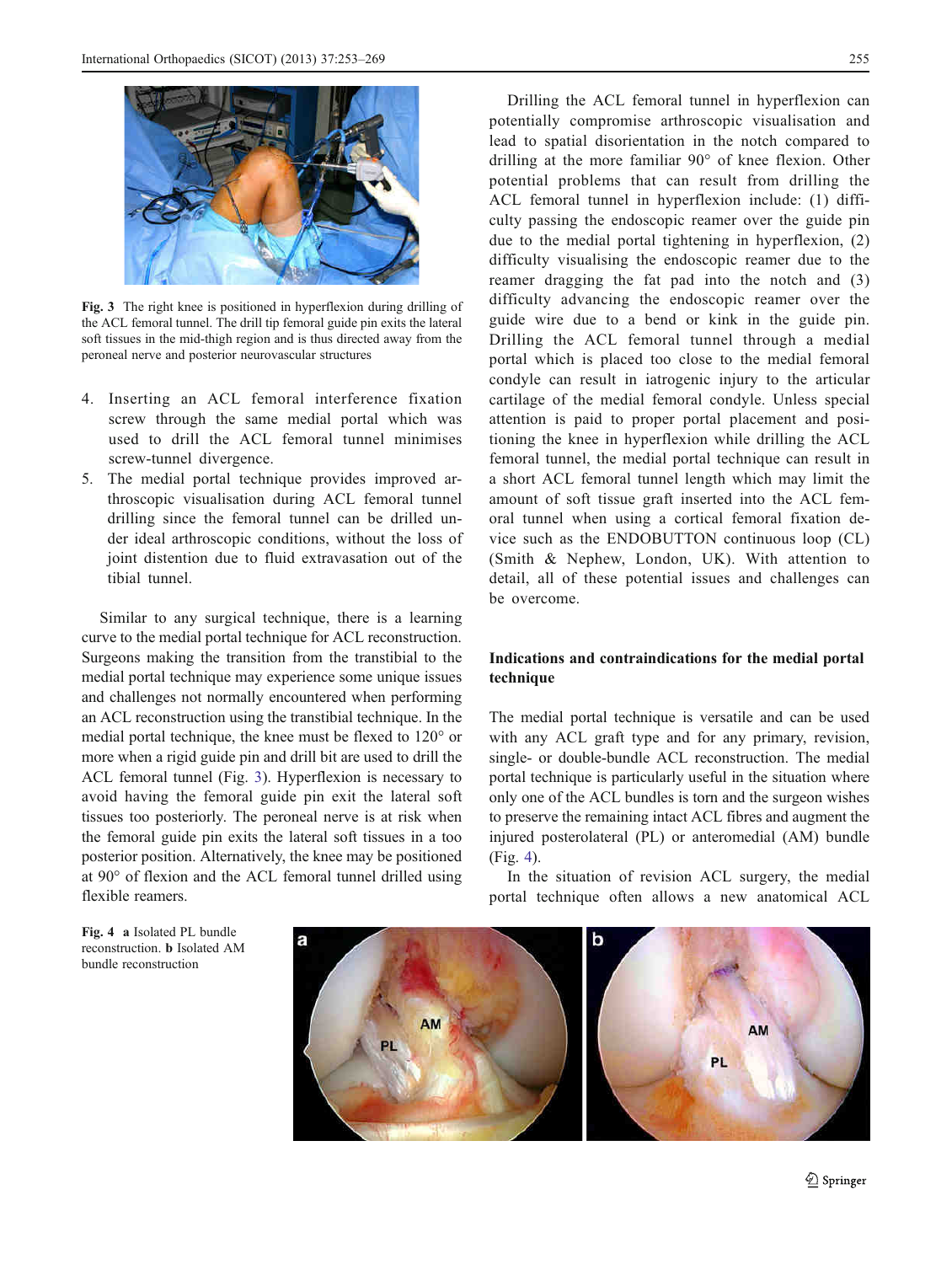<span id="page-2-0"></span>

Fig. 3 The right knee is positioned in hyperflexion during drilling of the ACL femoral tunnel. The drill tip femoral guide pin exits the lateral soft tissues in the mid-thigh region and is thus directed away from the peroneal nerve and posterior neurovascular structures

- 4. Inserting an ACL femoral interference fixation screw through the same medial portal which was used to drill the ACL femoral tunnel minimises screw-tunnel divergence.
- 5. The medial portal technique provides improved arthroscopic visualisation during ACL femoral tunnel drilling since the femoral tunnel can be drilled under ideal arthroscopic conditions, without the loss of joint distention due to fluid extravasation out of the tibial tunnel.

Similar to any surgical technique, there is a learning curve to the medial portal technique for ACL reconstruction. Surgeons making the transition from the transtibial to the medial portal technique may experience some unique issues and challenges not normally encountered when performing an ACL reconstruction using the transtibial technique. In the medial portal technique, the knee must be flexed to 120° or more when a rigid guide pin and drill bit are used to drill the ACL femoral tunnel (Fig. [3](#page-2-0)). Hyperflexion is necessary to avoid having the femoral guide pin exit the lateral soft tissues too posteriorly. The peroneal nerve is at risk when the femoral guide pin exits the lateral soft tissues in a too posterior position. Alternatively, the knee may be positioned at 90° of flexion and the ACL femoral tunnel drilled using flexible reamers.

Drilling the ACL femoral tunnel in hyperflexion can potentially compromise arthroscopic visualisation and lead to spatial disorientation in the notch compared to drilling at the more familiar 90° of knee flexion. Other potential problems that can result from drilling the ACL femoral tunnel in hyperflexion include: (1) difficulty passing the endoscopic reamer over the guide pin due to the medial portal tightening in hyperflexion, (2) difficulty visualising the endoscopic reamer due to the reamer dragging the fat pad into the notch and (3) difficulty advancing the endoscopic reamer over the guide wire due to a bend or kink in the guide pin. Drilling the ACL femoral tunnel through a medial portal which is placed too close to the medial femoral condyle can result in iatrogenic injury to the articular cartilage of the medial femoral condyle. Unless special attention is paid to proper portal placement and positioning the knee in hyperflexion while drilling the ACL femoral tunnel, the medial portal technique can result in a short ACL femoral tunnel length which may limit the amount of soft tissue graft inserted into the ACL femoral tunnel when using a cortical femoral fixation device such as the ENDOBUTTON continuous loop (CL) (Smith & Nephew, London, UK). With attention to detail, all of these potential issues and challenges can be overcome.

#### Indications and contraindications for the medial portal technique

The medial portal technique is versatile and can be used with any ACL graft type and for any primary, revision, single- or double-bundle ACL reconstruction. The medial portal technique is particularly useful in the situation where only one of the ACL bundles is torn and the surgeon wishes to preserve the remaining intact ACL fibres and augment the injured posterolateral (PL) or anteromedial (AM) bundle (Fig. [4](#page-2-0)).

Fig. 4 a Isolated PL bundle reconstruction. b Isolated AM bundle reconstruction

In the situation of revision ACL surgery, the medial portal technique often allows a new anatomical ACL

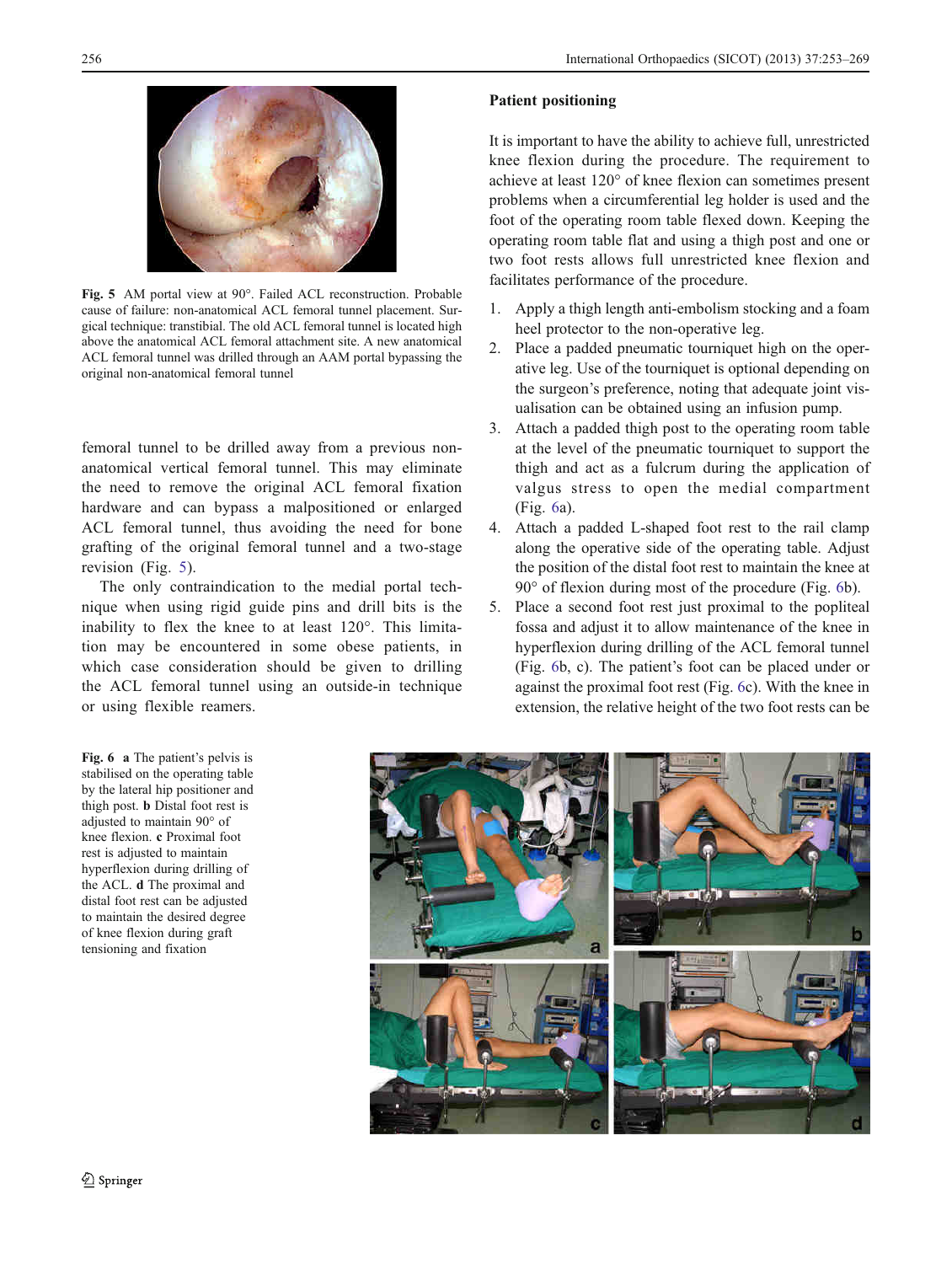<span id="page-3-0"></span>

Fig. 5 AM portal view at 90°. Failed ACL reconstruction. Probable cause of failure: non-anatomical ACL femoral tunnel placement. Surgical technique: transtibial. The old ACL femoral tunnel is located high above the anatomical ACL femoral attachment site. A new anatomical ACL femoral tunnel was drilled through an AAM portal bypassing the original non-anatomical femoral tunnel

femoral tunnel to be drilled away from a previous nonanatomical vertical femoral tunnel. This may eliminate the need to remove the original ACL femoral fixation hardware and can bypass a malpositioned or enlarged ACL femoral tunnel, thus avoiding the need for bone grafting of the original femoral tunnel and a two-stage revision (Fig. [5](#page-3-0)).

The only contraindication to the medial portal technique when using rigid guide pins and drill bits is the inability to flex the knee to at least 120°. This limitation may be encountered in some obese patients, in which case consideration should be given to drilling the ACL femoral tunnel using an outside-in technique or using flexible reamers.

## Patient positioning

It is important to have the ability to achieve full, unrestricted knee flexion during the procedure. The requirement to achieve at least 120° of knee flexion can sometimes present problems when a circumferential leg holder is used and the foot of the operating room table flexed down. Keeping the operating room table flat and using a thigh post and one or two foot rests allows full unrestricted knee flexion and facilitates performance of the procedure.

- 1. Apply a thigh length anti-embolism stocking and a foam heel protector to the non-operative leg.
- 2. Place a padded pneumatic tourniquet high on the operative leg. Use of the tourniquet is optional depending on the surgeon's preference, noting that adequate joint visualisation can be obtained using an infusion pump.
- 3. Attach a padded thigh post to the operating room table at the level of the pneumatic tourniquet to support the thigh and act as a fulcrum during the application of valgus stress to open the medial compartment (Fig. [6](#page-3-0)a).
- 4. Attach a padded L-shaped foot rest to the rail clamp along the operative side of the operating table. Adjust the position of the distal foot rest to maintain the knee at 90° of flexion during most of the procedure (Fig. [6](#page-3-0)b).
- 5. Place a second foot rest just proximal to the popliteal fossa and adjust it to allow maintenance of the knee in hyperflexion during drilling of the ACL femoral tunnel (Fig. [6b](#page-3-0), c). The patient's foot can be placed under or against the proximal foot rest (Fig. [6c](#page-3-0)). With the knee in extension, the relative height of the two foot rests can be

Fig. 6 a The patient's pelvis is stabilised on the operating table by the lateral hip positioner and thigh post. b Distal foot rest is adjusted to maintain 90° of knee flexion. c Proximal foot rest is adjusted to maintain hyperflexion during drilling of the ACL. d The proximal and distal foot rest can be adjusted to maintain the desired degree of knee flexion during graft tensioning and fixation

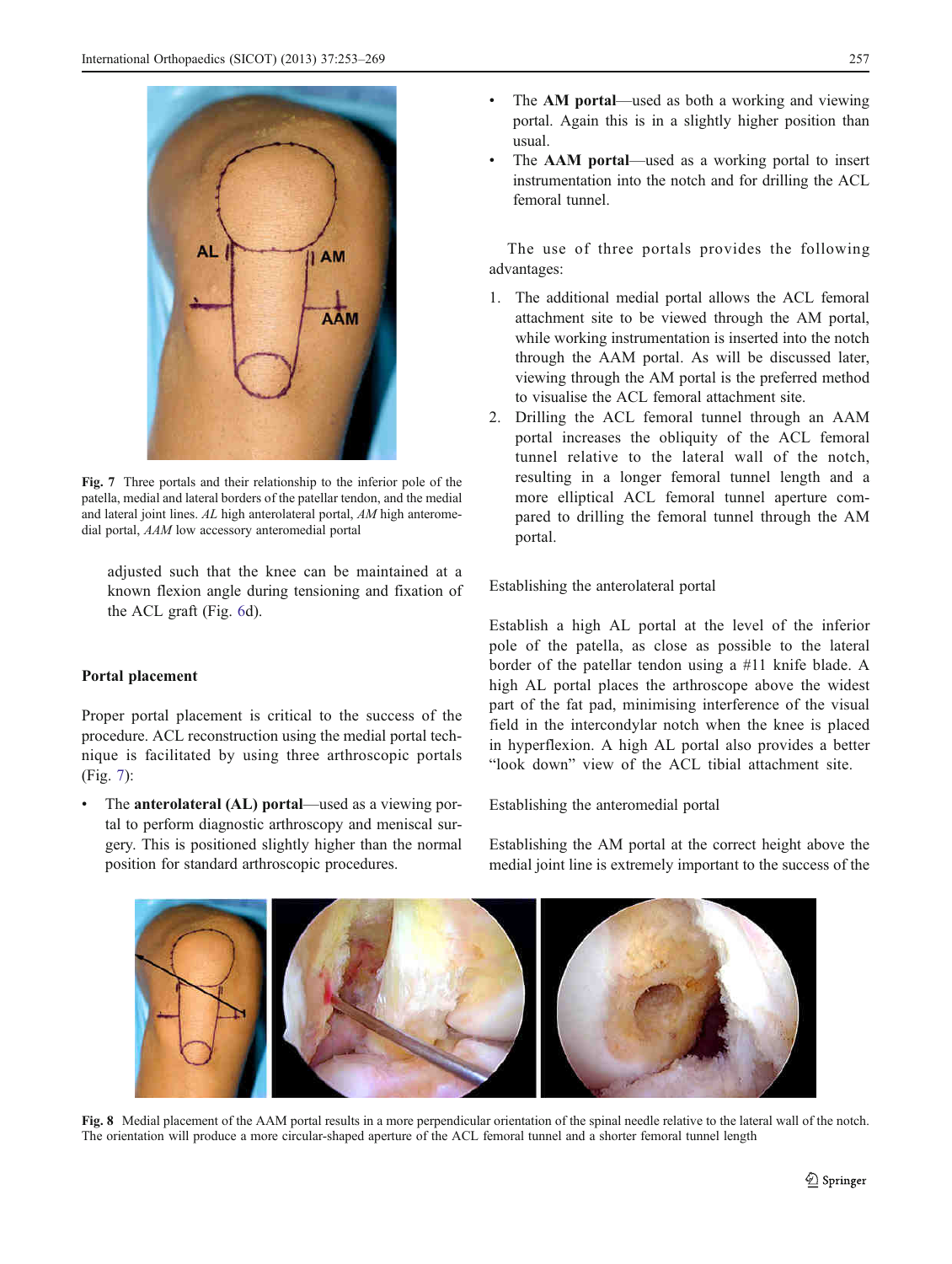<span id="page-4-0"></span>

Fig. 7 Three portals and their relationship to the inferior pole of the patella, medial and lateral borders of the patellar tendon, and the medial and lateral joint lines. AL high anterolateral portal, AM high anteromedial portal, AAM low accessory anteromedial portal

adjusted such that the knee can be maintained at a known flexion angle during tensioning and fixation of the ACL graft (Fig. [6d](#page-3-0)).

## Portal placement

Proper portal placement is critical to the success of the procedure. ACL reconstruction using the medial portal technique is facilitated by using three arthroscopic portals (Fig. [7\)](#page-4-0):

The **anterolateral (AL) portal**—used as a viewing portal to perform diagnostic arthroscopy and meniscal surgery. This is positioned slightly higher than the normal position for standard arthroscopic procedures.

The **AAM portal**—used as a working portal to insert instrumentation into the notch and for drilling the ACL femoral tunnel.

The use of three portals provides the following advantages:

- 1. The additional medial portal allows the ACL femoral attachment site to be viewed through the AM portal, while working instrumentation is inserted into the notch through the AAM portal. As will be discussed later, viewing through the AM portal is the preferred method to visualise the ACL femoral attachment site.
- 2. Drilling the ACL femoral tunnel through an AAM portal increases the obliquity of the ACL femoral tunnel relative to the lateral wall of the notch, resulting in a longer femoral tunnel length and a more elliptical ACL femoral tunnel aperture compared to drilling the femoral tunnel through the AM portal.

Establishing the anterolateral portal

Establish a high AL portal at the level of the inferior pole of the patella, as close as possible to the lateral border of the patellar tendon using a #11 knife blade. A high AL portal places the arthroscope above the widest part of the fat pad, minimising interference of the visual field in the intercondylar notch when the knee is placed in hyperflexion. A high AL portal also provides a better "look down" view of the ACL tibial attachment site.

Establishing the anteromedial portal

Establishing the AM portal at the correct height above the medial joint line is extremely important to the success of the



Fig. 8 Medial placement of the AAM portal results in a more perpendicular orientation of the spinal needle relative to the lateral wall of the notch. The orientation will produce a more circular-shaped aperture of the ACL femoral tunnel and a shorter femoral tunnel length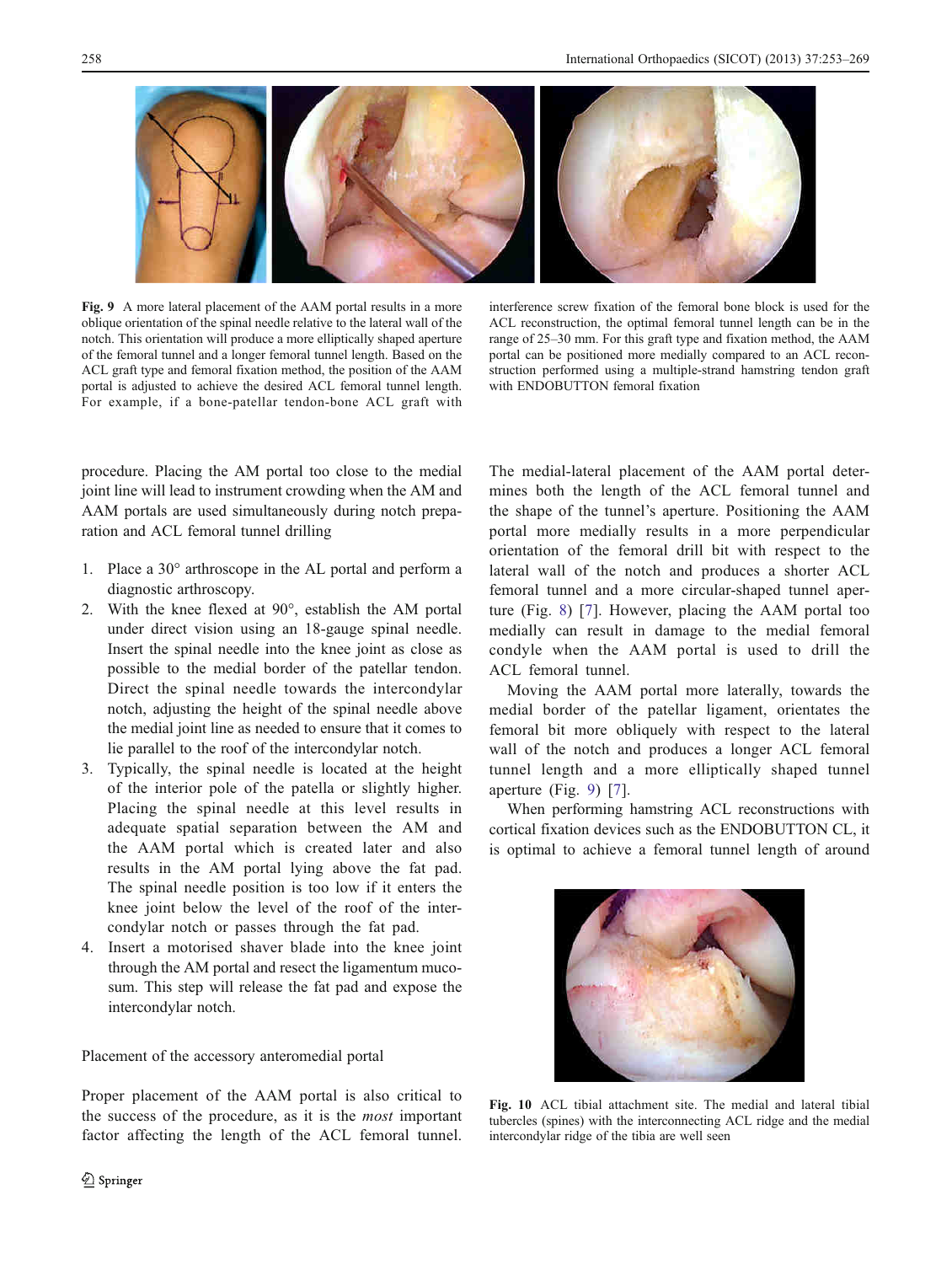<span id="page-5-0"></span>

Fig. 9 A more lateral placement of the AAM portal results in a more oblique orientation of the spinal needle relative to the lateral wall of the notch. This orientation will produce a more elliptically shaped aperture of the femoral tunnel and a longer femoral tunnel length. Based on the ACL graft type and femoral fixation method, the position of the AAM portal is adjusted to achieve the desired ACL femoral tunnel length. For example, if a bone-patellar tendon-bone ACL graft with

interference screw fixation of the femoral bone block is used for the ACL reconstruction, the optimal femoral tunnel length can be in the range of 25–30 mm. For this graft type and fixation method, the AAM portal can be positioned more medially compared to an ACL reconstruction performed using a multiple-strand hamstring tendon graft with ENDOBUTTON femoral fixation

procedure. Placing the AM portal too close to the medial joint line will lead to instrument crowding when the AM and AAM portals are used simultaneously during notch preparation and ACL femoral tunnel drilling

- 1. Place a 30° arthroscope in the AL portal and perform a diagnostic arthroscopy.
- 2. With the knee flexed at 90°, establish the AM portal under direct vision using an 18-gauge spinal needle. Insert the spinal needle into the knee joint as close as possible to the medial border of the patellar tendon. Direct the spinal needle towards the intercondylar notch, adjusting the height of the spinal needle above the medial joint line as needed to ensure that it comes to lie parallel to the roof of the intercondylar notch.
- 3. Typically, the spinal needle is located at the height of the interior pole of the patella or slightly higher. Placing the spinal needle at this level results in adequate spatial separation between the AM and the AAM portal which is created later and also results in the AM portal lying above the fat pad. The spinal needle position is too low if it enters the knee joint below the level of the roof of the intercondylar notch or passes through the fat pad.
- 4. Insert a motorised shaver blade into the knee joint through the AM portal and resect the ligamentum mucosum. This step will release the fat pad and expose the intercondylar notch.

Placement of the accessory anteromedial portal

Proper placement of the AAM portal is also critical to the success of the procedure, as it is the *most* important factor affecting the length of the ACL femoral tunnel.

The medial-lateral placement of the AAM portal determines both the length of the ACL femoral tunnel and the shape of the tunnel's aperture. Positioning the AAM portal more medially results in a more perpendicular orientation of the femoral drill bit with respect to the lateral wall of the notch and produces a shorter ACL femoral tunnel and a more circular-shaped tunnel aperture (Fig. [8\)](#page-4-0) [[7](#page-16-4)]. However, placing the AAM portal too medially can result in damage to the medial femoral condyle when the AAM portal is used to drill the ACL femoral tunnel.

Moving the AAM portal more laterally, towards the medial border of the patellar ligament, orientates the femoral bit more obliquely with respect to the lateral wall of the notch and produces a longer ACL femoral tunnel length and a more elliptically shaped tunnel aperture (Fig. [9\)](#page-5-0) [[7\]](#page-16-4).

When performing hamstring ACL reconstructions with cortical fixation devices such as the ENDOBUTTON CL, it is optimal to achieve a femoral tunnel length of around



Fig. 10 ACL tibial attachment site. The medial and lateral tibial tubercles (spines) with the interconnecting ACL ridge and the medial intercondylar ridge of the tibia are well seen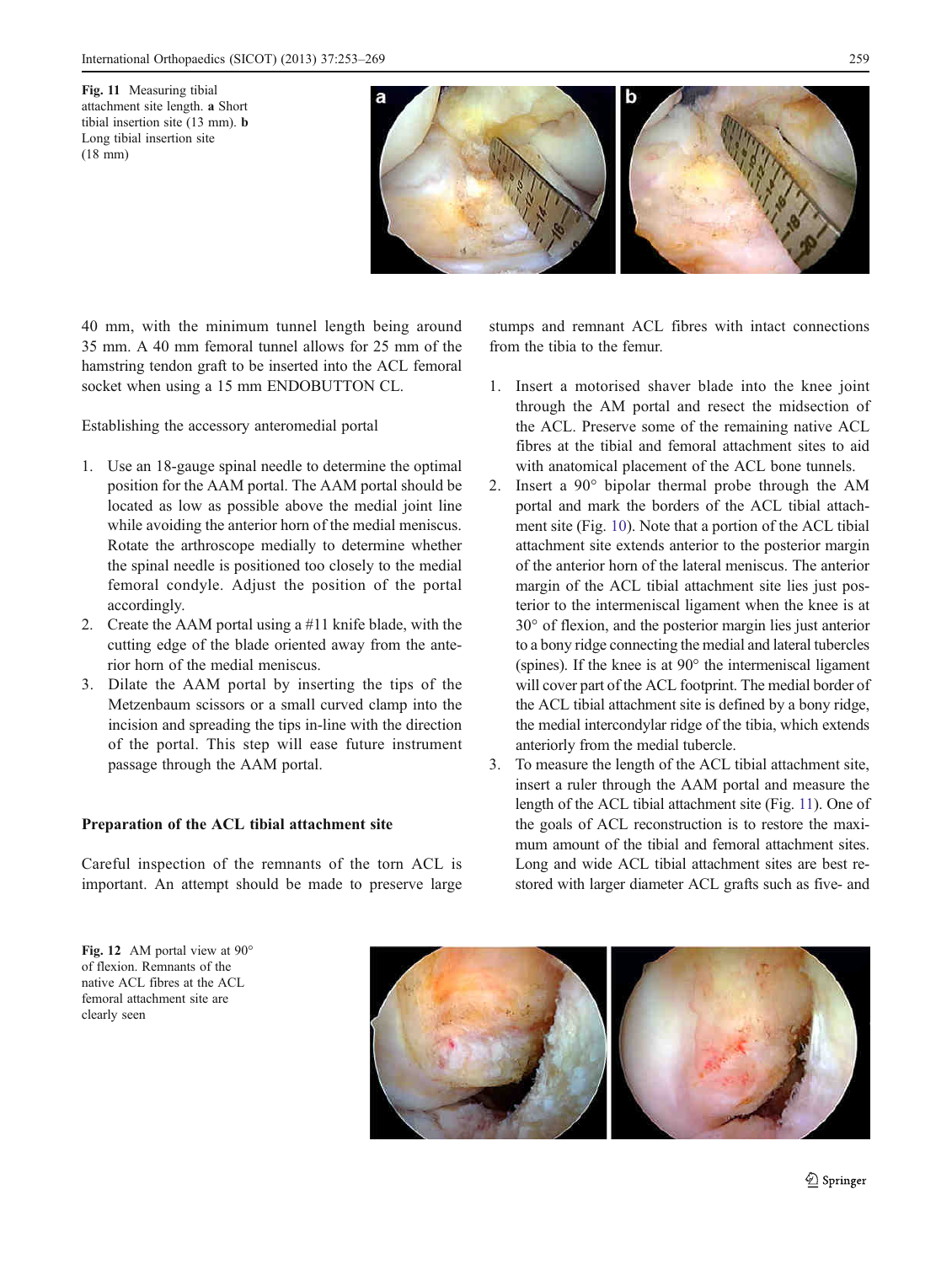<span id="page-6-0"></span>Fig. 11 Measuring tibial attachment site length. a Short tibial insertion site (13 mm). b Long tibial insertion site (18 mm)



40 mm, with the minimum tunnel length being around 35 mm. A 40 mm femoral tunnel allows for 25 mm of the hamstring tendon graft to be inserted into the ACL femoral socket when using a 15 mm ENDOBUTTON CL.

Establishing the accessory anteromedial portal

- 1. Use an 18-gauge spinal needle to determine the optimal position for the AAM portal. The AAM portal should be located as low as possible above the medial joint line while avoiding the anterior horn of the medial meniscus. Rotate the arthroscope medially to determine whether the spinal needle is positioned too closely to the medial femoral condyle. Adjust the position of the portal accordingly.
- 2. Create the AAM portal using a #11 knife blade, with the cutting edge of the blade oriented away from the anterior horn of the medial meniscus.
- 3. Dilate the AAM portal by inserting the tips of the Metzenbaum scissors or a small curved clamp into the incision and spreading the tips in-line with the direction of the portal. This step will ease future instrument passage through the AAM portal.

## Preparation of the ACL tibial attachment site

Careful inspection of the remnants of the torn ACL is important. An attempt should be made to preserve large stumps and remnant ACL fibres with intact connections from the tibia to the femur.

- 1. Insert a motorised shaver blade into the knee joint through the AM portal and resect the midsection of the ACL. Preserve some of the remaining native ACL fibres at the tibial and femoral attachment sites to aid with anatomical placement of the ACL bone tunnels.
- 2. Insert a 90° bipolar thermal probe through the AM portal and mark the borders of the ACL tibial attachment site (Fig. [10](#page-5-0)). Note that a portion of the ACL tibial attachment site extends anterior to the posterior margin of the anterior horn of the lateral meniscus. The anterior margin of the ACL tibial attachment site lies just posterior to the intermeniscal ligament when the knee is at 30° of flexion, and the posterior margin lies just anterior to a bony ridge connecting the medial and lateral tubercles (spines). If the knee is at 90° the intermeniscal ligament will cover part of the ACL footprint. The medial border of the ACL tibial attachment site is defined by a bony ridge, the medial intercondylar ridge of the tibia, which extends anteriorly from the medial tubercle.
- 3. To measure the length of the ACL tibial attachment site, insert a ruler through the AAM portal and measure the length of the ACL tibial attachment site (Fig. [11](#page-6-0)). One of the goals of ACL reconstruction is to restore the maximum amount of the tibial and femoral attachment sites. Long and wide ACL tibial attachment sites are best restored with larger diameter ACL grafts such as five- and

Fig. 12 AM portal view at 90° of flexion. Remnants of the native ACL fibres at the ACL femoral attachment site are clearly seen

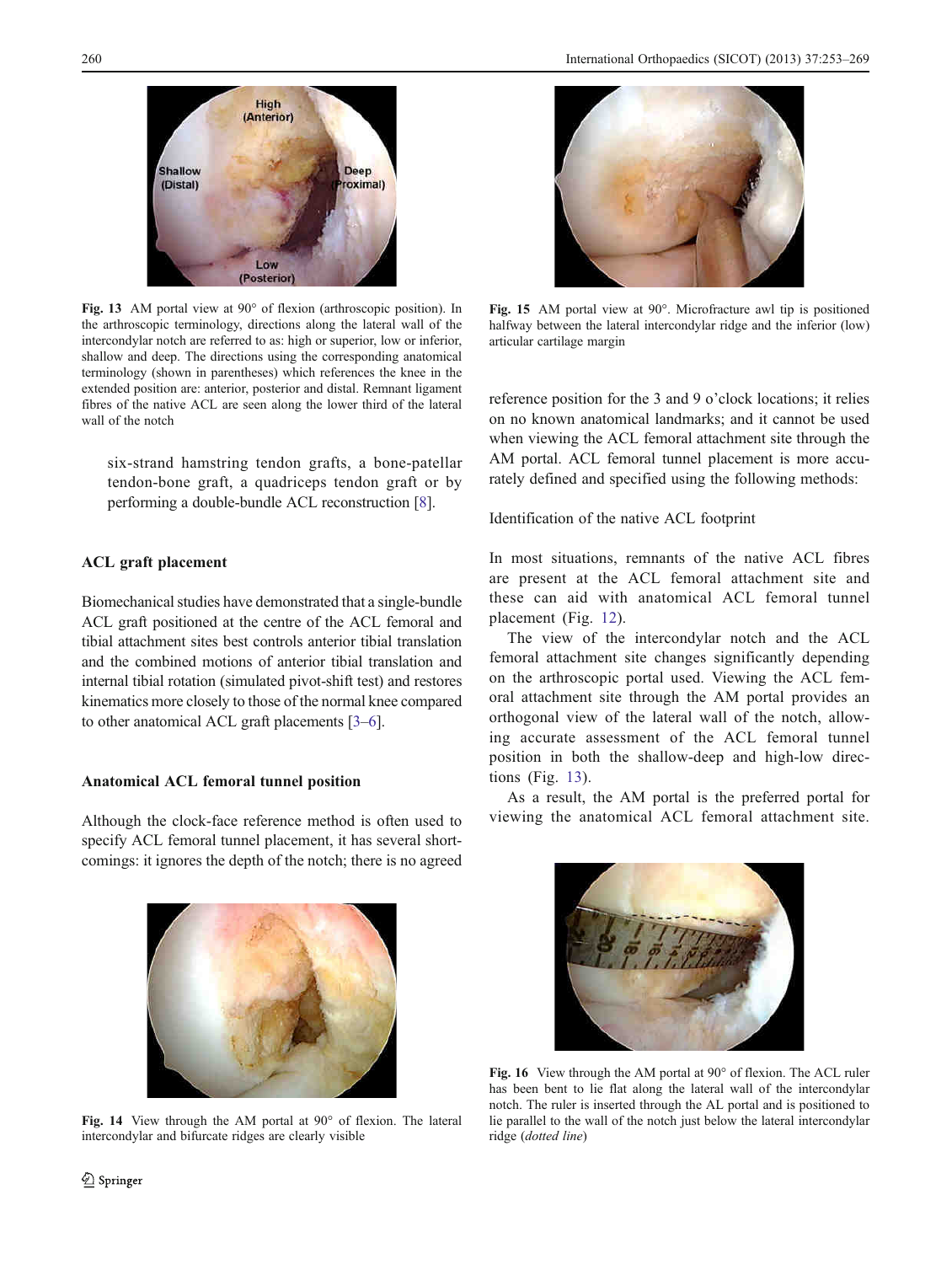<span id="page-7-0"></span>

Fig. 13 AM portal view at 90° of flexion (arthroscopic position). In the arthroscopic terminology, directions along the lateral wall of the intercondylar notch are referred to as: high or superior, low or inferior, shallow and deep. The directions using the corresponding anatomical terminology (shown in parentheses) which references the knee in the extended position are: anterior, posterior and distal. Remnant ligament fibres of the native ACL are seen along the lower third of the lateral wall of the notch

six-strand hamstring tendon grafts, a bone-patellar tendon-bone graft, a quadriceps tendon graft or by performing a double-bundle ACL reconstruction [\[8](#page-16-5)].

#### ACL graft placement

Biomechanical studies have demonstrated that a single-bundle ACL graft positioned at the centre of the ACL femoral and tibial attachment sites best controls anterior tibial translation and the combined motions of anterior tibial translation and internal tibial rotation (simulated pivot-shift test) and restores kinematics more closely to those of the normal knee compared to other anatomical ACL graft placements [[3](#page-16-2)–[6](#page-16-3)].

#### Anatomical ACL femoral tunnel position

Although the clock-face reference method is often used to specify ACL femoral tunnel placement, it has several shortcomings: it ignores the depth of the notch; there is no agreed



Fig. 14 View through the AM portal at 90° of flexion. The lateral intercondylar and bifurcate ridges are clearly visible



Fig. 15 AM portal view at 90°. Microfracture awl tip is positioned halfway between the lateral intercondylar ridge and the inferior (low) articular cartilage margin

reference position for the 3 and 9 o'clock locations; it relies on no known anatomical landmarks; and it cannot be used when viewing the ACL femoral attachment site through the AM portal. ACL femoral tunnel placement is more accurately defined and specified using the following methods:

Identification of the native ACL footprint

In most situations, remnants of the native ACL fibres are present at the ACL femoral attachment site and these can aid with anatomical ACL femoral tunnel placement (Fig. [12](#page-6-0)).

The view of the intercondylar notch and the ACL femoral attachment site changes significantly depending on the arthroscopic portal used. Viewing the ACL femoral attachment site through the AM portal provides an orthogonal view of the lateral wall of the notch, allowing accurate assessment of the ACL femoral tunnel position in both the shallow-deep and high-low directions (Fig. [13](#page-7-0)).

As a result, the AM portal is the preferred portal for viewing the anatomical ACL femoral attachment site.



Fig. 16 View through the AM portal at 90° of flexion. The ACL ruler has been bent to lie flat along the lateral wall of the intercondylar notch. The ruler is inserted through the AL portal and is positioned to lie parallel to the wall of the notch just below the lateral intercondylar ridge (dotted line)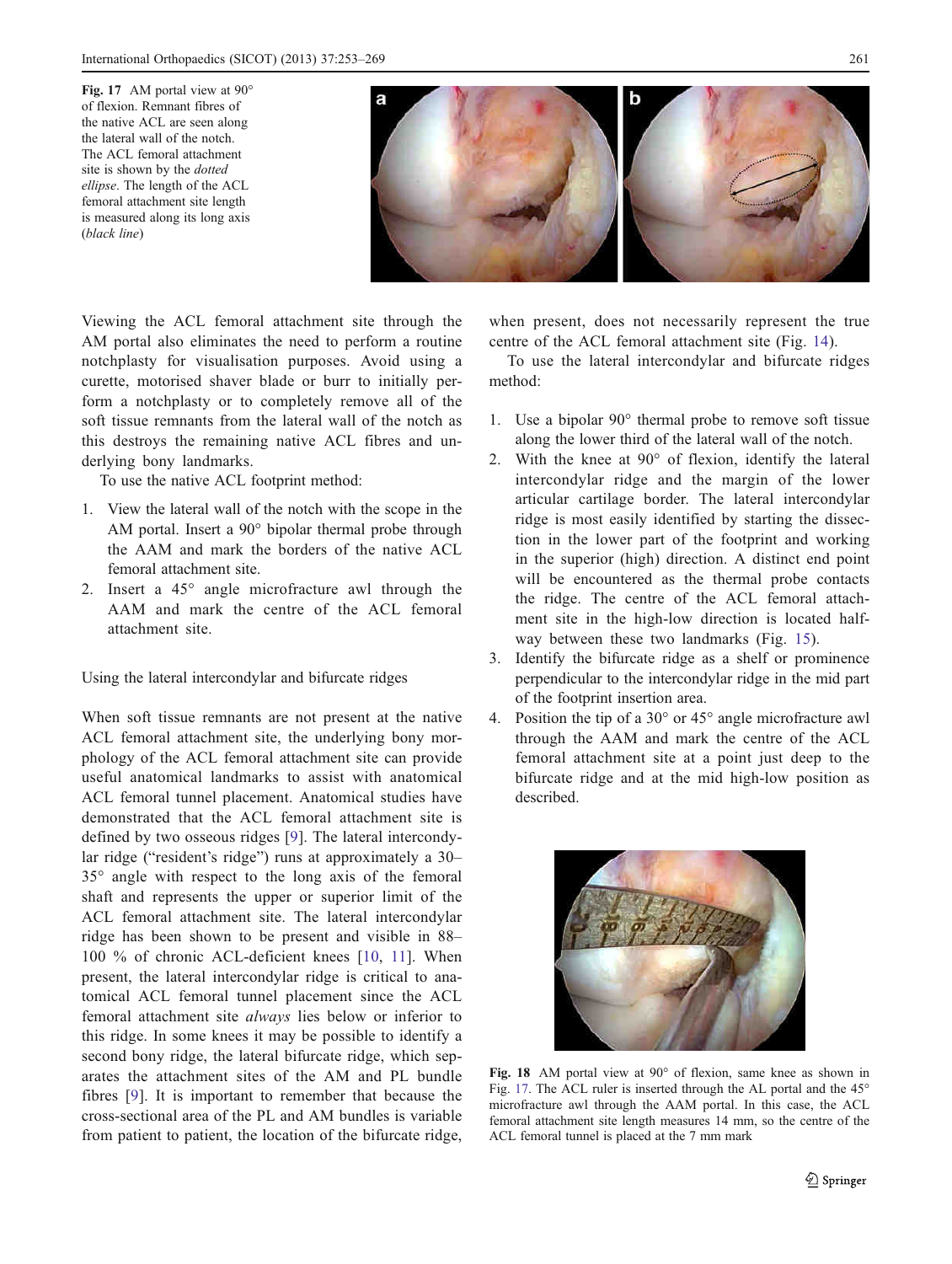<span id="page-8-0"></span>Fig. 17 AM portal view at 90° of flexion. Remnant fibres of the native ACL are seen along the lateral wall of the notch. The ACL femoral attachment site is shown by the dotted ellipse. The length of the ACL femoral attachment site length is measured along its long axis (black line)



Viewing the ACL femoral attachment site through the AM portal also eliminates the need to perform a routine notchplasty for visualisation purposes. Avoid using a curette, motorised shaver blade or burr to initially perform a notchplasty or to completely remove all of the soft tissue remnants from the lateral wall of the notch as this destroys the remaining native ACL fibres and underlying bony landmarks.

To use the native ACL footprint method:

- 1. View the lateral wall of the notch with the scope in the AM portal. Insert a 90° bipolar thermal probe through the AAM and mark the borders of the native ACL femoral attachment site.
- 2. Insert a 45° angle microfracture awl through the AAM and mark the centre of the ACL femoral attachment site.

Using the lateral intercondylar and bifurcate ridges

When soft tissue remnants are not present at the native ACL femoral attachment site, the underlying bony morphology of the ACL femoral attachment site can provide useful anatomical landmarks to assist with anatomical ACL femoral tunnel placement. Anatomical studies have demonstrated that the ACL femoral attachment site is defined by two osseous ridges [[9\]](#page-16-6). The lateral intercondylar ridge ("resident's ridge") runs at approximately a 30– 35° angle with respect to the long axis of the femoral shaft and represents the upper or superior limit of the ACL femoral attachment site. The lateral intercondylar ridge has been shown to be present and visible in 88– 100 % of chronic ACL-deficient knees [[10](#page-16-7), [11](#page-16-8)]. When present, the lateral intercondylar ridge is critical to anatomical ACL femoral tunnel placement since the ACL femoral attachment site always lies below or inferior to this ridge. In some knees it may be possible to identify a second bony ridge, the lateral bifurcate ridge, which separates the attachment sites of the AM and PL bundle fibres [[9\]](#page-16-6). It is important to remember that because the cross-sectional area of the PL and AM bundles is variable from patient to patient, the location of the bifurcate ridge, when present, does not necessarily represent the true centre of the ACL femoral attachment site (Fig. [14\)](#page-7-0).

To use the lateral intercondylar and bifurcate ridges method:

- 1. Use a bipolar 90° thermal probe to remove soft tissue along the lower third of the lateral wall of the notch.
- 2. With the knee at 90° of flexion, identify the lateral intercondylar ridge and the margin of the lower articular cartilage border. The lateral intercondylar ridge is most easily identified by starting the dissection in the lower part of the footprint and working in the superior (high) direction. A distinct end point will be encountered as the thermal probe contacts the ridge. The centre of the ACL femoral attachment site in the high-low direction is located halfway between these two landmarks (Fig. [15](#page-7-0)).
- 3. Identify the bifurcate ridge as a shelf or prominence perpendicular to the intercondylar ridge in the mid part of the footprint insertion area.
- 4. Position the tip of a 30° or 45° angle microfracture awl through the AAM and mark the centre of the ACL femoral attachment site at a point just deep to the bifurcate ridge and at the mid high-low position as described.



Fig. 18 AM portal view at 90° of flexion, same knee as shown in Fig. [17.](#page-8-0) The ACL ruler is inserted through the AL portal and the 45° microfracture awl through the AAM portal. In this case, the ACL femoral attachment site length measures 14 mm, so the centre of the ACL femoral tunnel is placed at the 7 mm mark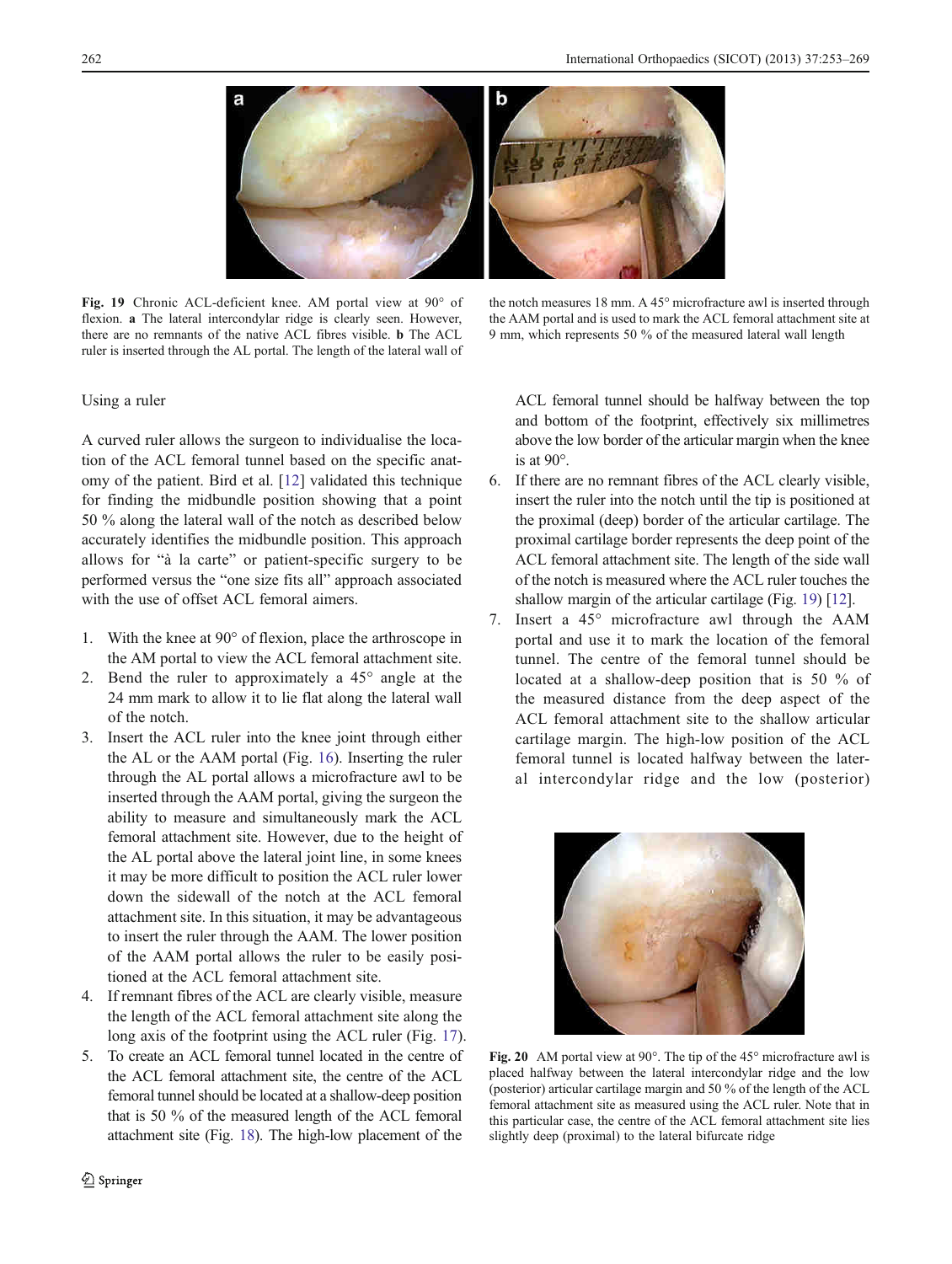<span id="page-9-0"></span>

Fig. 19 Chronic ACL-deficient knee. AM portal view at 90° of flexion. a The lateral intercondylar ridge is clearly seen. However, there are no remnants of the native ACL fibres visible. b The ACL ruler is inserted through the AL portal. The length of the lateral wall of

Using a ruler

A curved ruler allows the surgeon to individualise the location of the ACL femoral tunnel based on the specific anatomy of the patient. Bird et al. [[12\]](#page-16-9) validated this technique for finding the midbundle position showing that a point 50 % along the lateral wall of the notch as described below accurately identifies the midbundle position. This approach allows for "à la carte" or patient-specific surgery to be performed versus the "one size fits all" approach associated with the use of offset ACL femoral aimers.

- 1. With the knee at 90° of flexion, place the arthroscope in the AM portal to view the ACL femoral attachment site.
- 2. Bend the ruler to approximately a 45° angle at the 24 mm mark to allow it to lie flat along the lateral wall of the notch.
- 3. Insert the ACL ruler into the knee joint through either the AL or the AAM portal (Fig. [16\)](#page-7-0). Inserting the ruler through the AL portal allows a microfracture awl to be inserted through the AAM portal, giving the surgeon the ability to measure and simultaneously mark the ACL femoral attachment site. However, due to the height of the AL portal above the lateral joint line, in some knees it may be more difficult to position the ACL ruler lower down the sidewall of the notch at the ACL femoral attachment site. In this situation, it may be advantageous to insert the ruler through the AAM. The lower position of the AAM portal allows the ruler to be easily positioned at the ACL femoral attachment site.
- 4. If remnant fibres of the ACL are clearly visible, measure the length of the ACL femoral attachment site along the long axis of the footprint using the ACL ruler (Fig. [17](#page-8-0)).
- 5. To create an ACL femoral tunnel located in the centre of the ACL femoral attachment site, the centre of the ACL femoral tunnel should be located at a shallow-deep position that is 50 % of the measured length of the ACL femoral attachment site (Fig. [18](#page-8-0)). The high-low placement of the

9 mm, which represents 50 % of the measured lateral wall length

the notch measures 18 mm. A 45° microfracture awl is inserted through the AAM portal and is used to mark the ACL femoral attachment site at

ACL femoral tunnel should be halfway between the top and bottom of the footprint, effectively six millimetres above the low border of the articular margin when the knee is at 90°.

- 6. If there are no remnant fibres of the ACL clearly visible, insert the ruler into the notch until the tip is positioned at the proximal (deep) border of the articular cartilage. The proximal cartilage border represents the deep point of the ACL femoral attachment site. The length of the side wall of the notch is measured where the ACL ruler touches the shallow margin of the articular cartilage (Fig. [19](#page-9-0)) [\[12\]](#page-16-9).
- 7. Insert a 45° microfracture awl through the AAM portal and use it to mark the location of the femoral tunnel. The centre of the femoral tunnel should be located at a shallow-deep position that is 50 % of the measured distance from the deep aspect of the ACL femoral attachment site to the shallow articular cartilage margin. The high-low position of the ACL femoral tunnel is located halfway between the lateral intercondylar ridge and the low (posterior)



Fig. 20 AM portal view at 90°. The tip of the 45° microfracture awl is placed halfway between the lateral intercondylar ridge and the low (posterior) articular cartilage margin and 50 % of the length of the ACL femoral attachment site as measured using the ACL ruler. Note that in this particular case, the centre of the ACL femoral attachment site lies slightly deep (proximal) to the lateral bifurcate ridge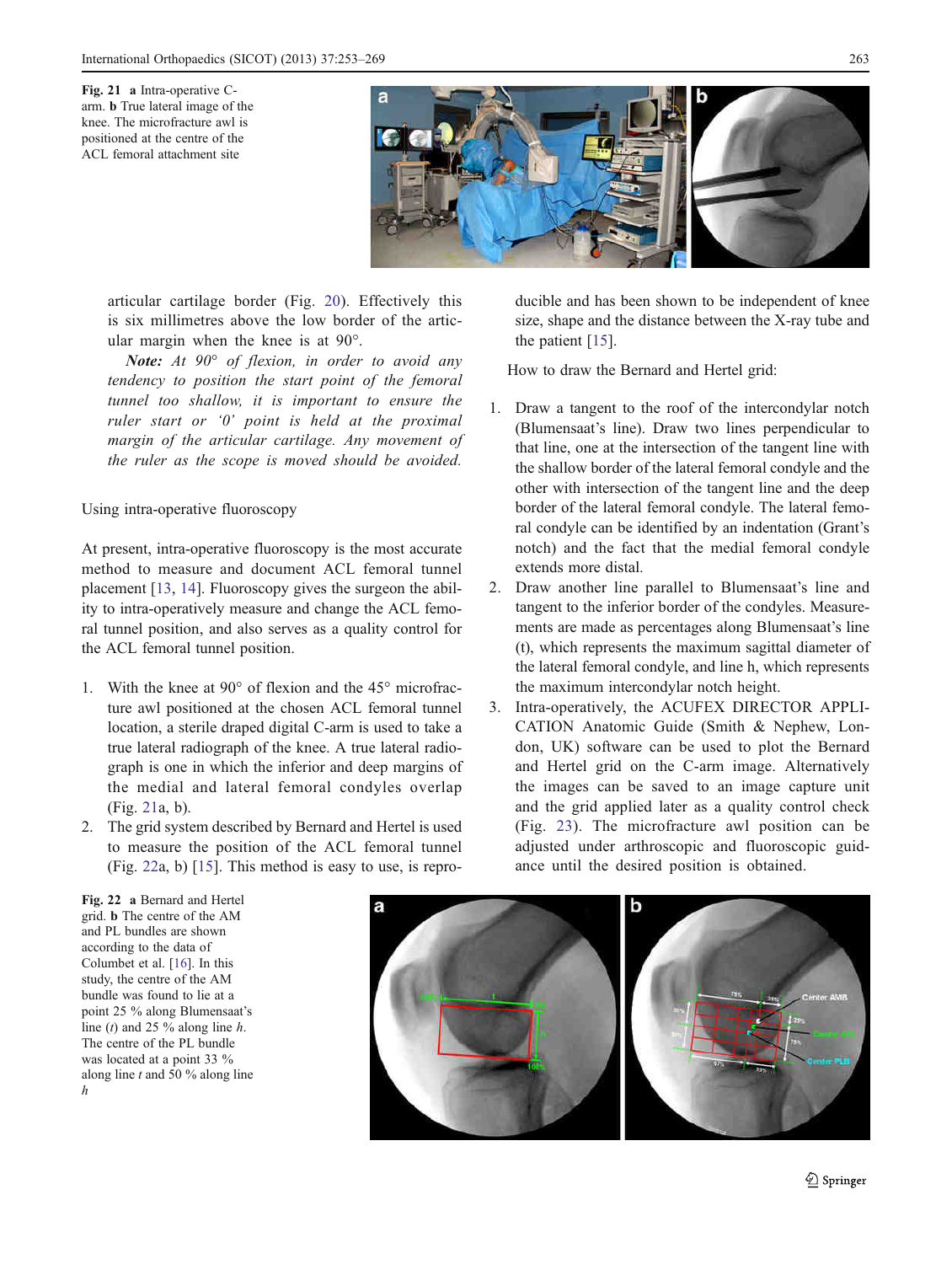<span id="page-10-0"></span>Fig. 21 a Intra-operative Carm. b True lateral image of the knee. The microfracture awl is positioned at the centre of the ACL femoral attachment site



articular cartilage border (Fig. [20](#page-9-0)). Effectively this is six millimetres above the low border of the articular margin when the knee is at 90°.

Note: At 90° of flexion, in order to avoid any tendency to position the start point of the femoral tunnel too shallow, it is important to ensure the ruler start or '0' point is held at the proximal margin of the articular cartilage. Any movement of the ruler as the scope is moved should be avoided.

Using intra-operative fluoroscopy

At present, intra-operative fluoroscopy is the most accurate method to measure and document ACL femoral tunnel placement [[13,](#page-16-10) [14\]](#page-16-11). Fluoroscopy gives the surgeon the ability to intra-operatively measure and change the ACL femoral tunnel position, and also serves as a quality control for the ACL femoral tunnel position.

- 1. With the knee at 90° of flexion and the 45° microfracture awl positioned at the chosen ACL femoral tunnel location, a sterile draped digital C-arm is used to take a true lateral radiograph of the knee. A true lateral radiograph is one in which the inferior and deep margins of the medial and lateral femoral condyles overlap (Fig. [21](#page-10-0)a, b).
- 2. The grid system described by Bernard and Hertel is used to measure the position of the ACL femoral tunnel (Fig. [22](#page-10-0)a, b) [[15\]](#page-16-12). This method is easy to use, is repro-

ducible and has been shown to be independent of knee size, shape and the distance between the X-ray tube and the patient [[15\]](#page-16-12).

How to draw the Bernard and Hertel grid:

- 1. Draw a tangent to the roof of the intercondylar notch (Blumensaat's line). Draw two lines perpendicular to that line, one at the intersection of the tangent line with the shallow border of the lateral femoral condyle and the other with intersection of the tangent line and the deep border of the lateral femoral condyle. The lateral femoral condyle can be identified by an indentation (Grant's notch) and the fact that the medial femoral condyle extends more distal.
- 2. Draw another line parallel to Blumensaat's line and tangent to the inferior border of the condyles. Measurements are made as percentages along Blumensaat's line (t), which represents the maximum sagittal diameter of the lateral femoral condyle, and line h, which represents the maximum intercondylar notch height.
- 3. Intra-operatively, the ACUFEX DIRECTOR APPLI-CATION Anatomic Guide (Smith & Nephew, London, UK) software can be used to plot the Bernard and Hertel grid on the C-arm image. Alternatively the images can be saved to an image capture unit and the grid applied later as a quality control check (Fig. [23\)](#page-11-0). The microfracture awl position can be adjusted under arthroscopic and fluoroscopic guidance until the desired position is obtained.

Fig. 22 a Bernard and Hertel grid. b The centre of the AM and PL bundles are shown according to the data of Columbet et al. [[16](#page-16-13)]. In this study, the centre of the AM bundle was found to lie at a point 25 % along Blumensaat's line (t) and 25 % along line  $h$ . The centre of the PL bundle was located at a point 33 % along line  $t$  and 50 % along line h

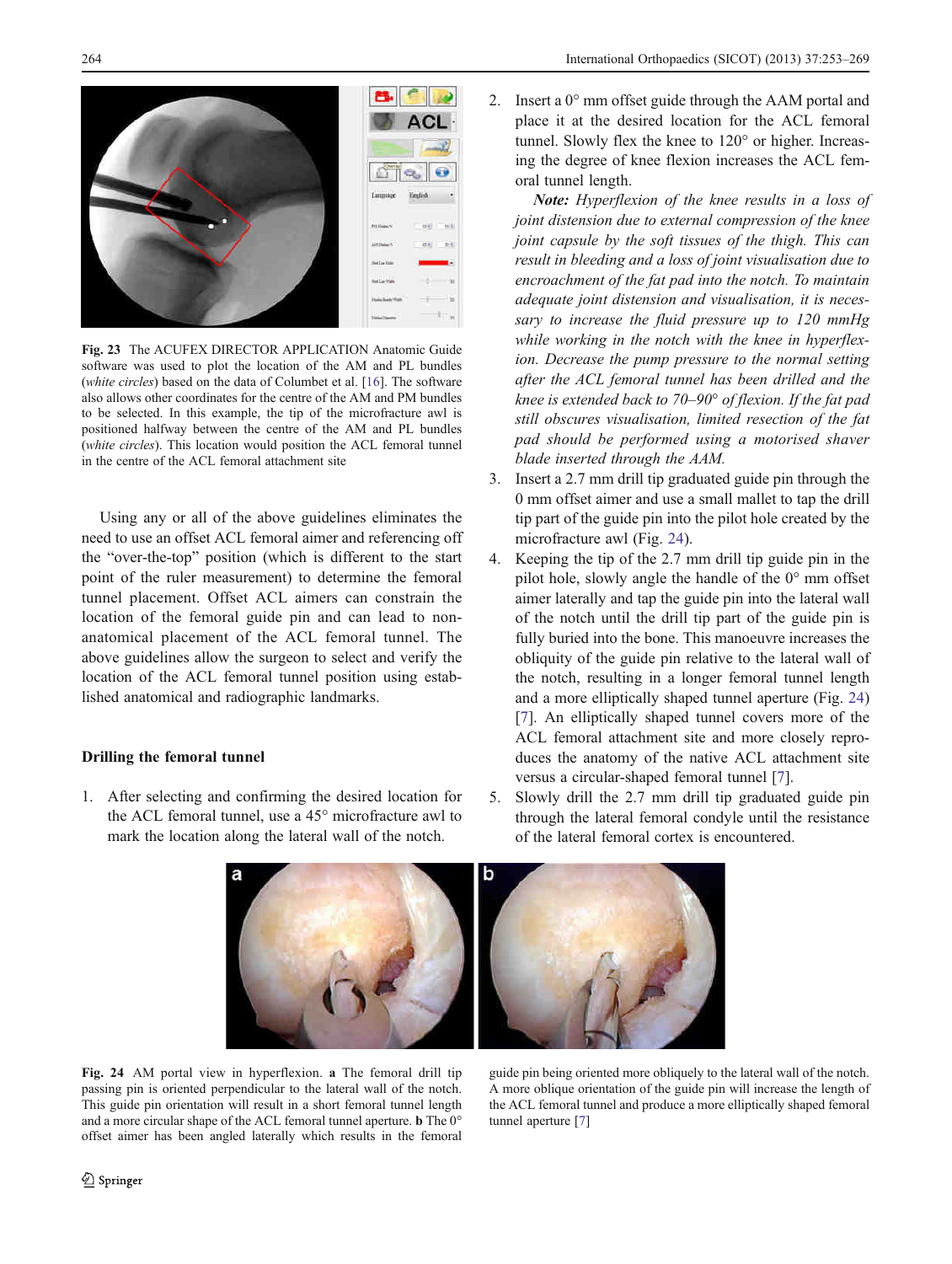<span id="page-11-0"></span>

Fig. 23 The ACUFEX DIRECTOR APPLICATION Anatomic Guide software was used to plot the location of the AM and PL bundles (white circles) based on the data of Columbet et al. [\[16\]](#page-16-13). The software also allows other coordinates for the centre of the AM and PM bundles to be selected. In this example, the tip of the microfracture awl is positioned halfway between the centre of the AM and PL bundles (white circles). This location would position the ACL femoral tunnel in the centre of the ACL femoral attachment site

Using any or all of the above guidelines eliminates the need to use an offset ACL femoral aimer and referencing off the "over-the-top" position (which is different to the start point of the ruler measurement) to determine the femoral tunnel placement. Offset ACL aimers can constrain the location of the femoral guide pin and can lead to nonanatomical placement of the ACL femoral tunnel. The above guidelines allow the surgeon to select and verify the location of the ACL femoral tunnel position using established anatomical and radiographic landmarks.

## Drilling the femoral tunnel

1. After selecting and confirming the desired location for the ACL femoral tunnel, use a 45° microfracture awl to mark the location along the lateral wall of the notch.

2. Insert a 0° mm offset guide through the AAM portal and place it at the desired location for the ACL femoral tunnel. Slowly flex the knee to 120° or higher. Increasing the degree of knee flexion increases the ACL femoral tunnel length.

Note: Hyperflexion of the knee results in a loss of joint distension due to external compression of the knee joint capsule by the soft tissues of the thigh. This can result in bleeding and a loss of joint visualisation due to encroachment of the fat pad into the notch. To maintain adequate joint distension and visualisation, it is necessary to increase the fluid pressure up to 120 mmHg while working in the notch with the knee in hyperflexion. Decrease the pump pressure to the normal setting after the ACL femoral tunnel has been drilled and the knee is extended back to 70–90° of flexion. If the fat pad still obscures visualisation, limited resection of the fat pad should be performed using a motorised shaver blade inserted through the AAM.

- 3. Insert a 2.7 mm drill tip graduated guide pin through the 0 mm offset aimer and use a small mallet to tap the drill tip part of the guide pin into the pilot hole created by the microfracture awl (Fig. [24](#page-11-0)).
- 4. Keeping the tip of the 2.7 mm drill tip guide pin in the pilot hole, slowly angle the handle of the 0° mm offset aimer laterally and tap the guide pin into the lateral wall of the notch until the drill tip part of the guide pin is fully buried into the bone. This manoeuvre increases the obliquity of the guide pin relative to the lateral wall of the notch, resulting in a longer femoral tunnel length and a more elliptically shaped tunnel aperture (Fig. [24](#page-11-0)) [[7\]](#page-16-4). An elliptically shaped tunnel covers more of the ACL femoral attachment site and more closely reproduces the anatomy of the native ACL attachment site versus a circular-shaped femoral tunnel [\[7](#page-16-4)].
- 5. Slowly drill the 2.7 mm drill tip graduated guide pin through the lateral femoral condyle until the resistance of the lateral femoral cortex is encountered.



Fig. 24 AM portal view in hyperflexion. a The femoral drill tip passing pin is oriented perpendicular to the lateral wall of the notch. This guide pin orientation will result in a short femoral tunnel length and a more circular shape of the ACL femoral tunnel aperture. b The 0° offset aimer has been angled laterally which results in the femoral

guide pin being oriented more obliquely to the lateral wall of the notch. A more oblique orientation of the guide pin will increase the length of the ACL femoral tunnel and produce a more elliptically shaped femoral tunnel aperture [\[7\]](#page-16-4)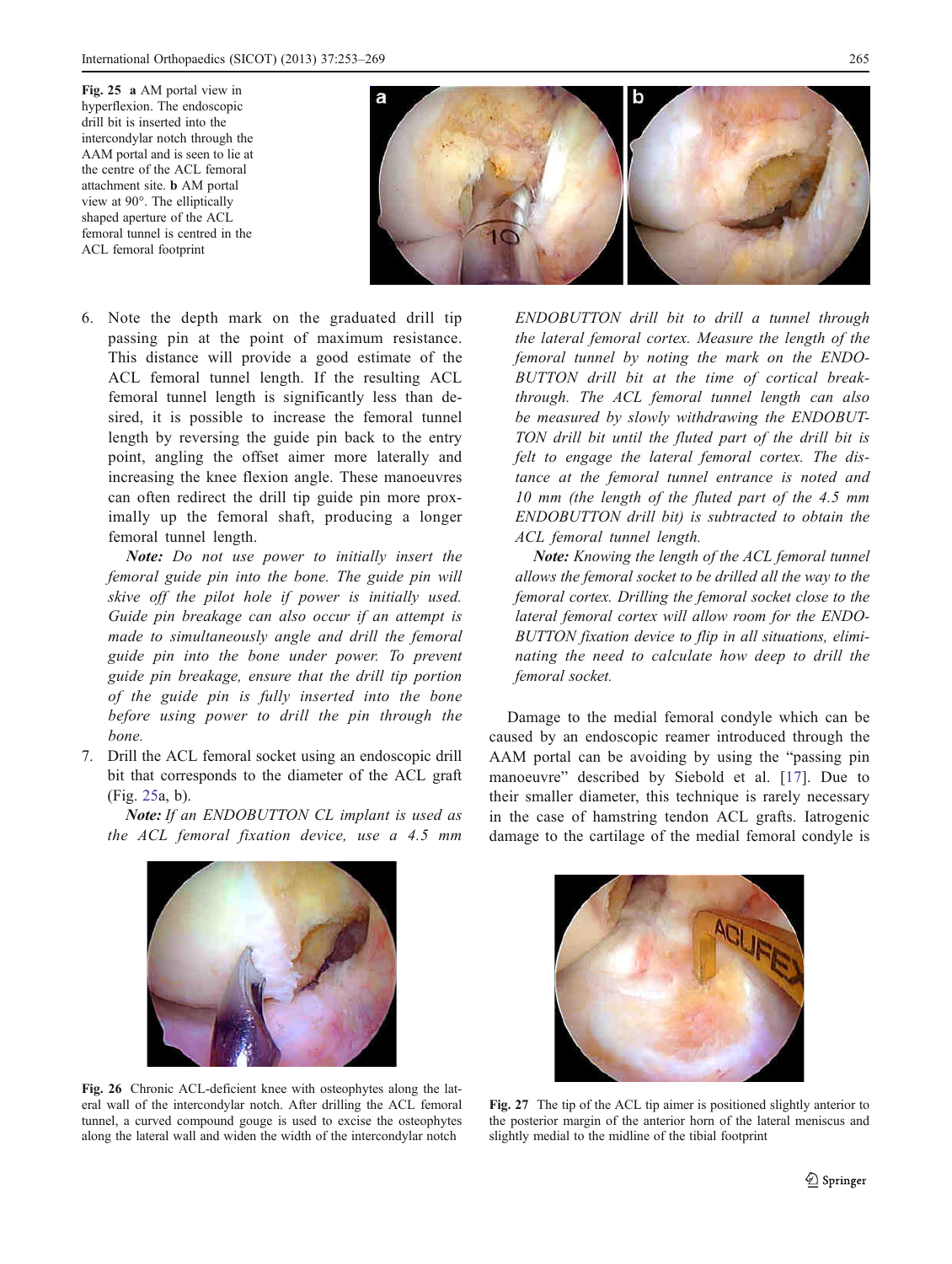<span id="page-12-0"></span>Fig. 25 a AM portal view in hyperflexion. The endoscopic drill bit is inserted into the intercondylar notch through the AAM portal and is seen to lie at the centre of the ACL femoral attachment site. b AM portal view at 90°. The elliptically shaped aperture of the ACL femoral tunnel is centred in the ACL femoral footprint



6. Note the depth mark on the graduated drill tip passing pin at the point of maximum resistance. This distance will provide a good estimate of the ACL femoral tunnel length. If the resulting ACL femoral tunnel length is significantly less than desired, it is possible to increase the femoral tunnel length by reversing the guide pin back to the entry point, angling the offset aimer more laterally and increasing the knee flexion angle. These manoeuvres can often redirect the drill tip guide pin more proximally up the femoral shaft, producing a longer femoral tunnel length.

Note: Do not use power to initially insert the femoral guide pin into the bone. The guide pin will skive off the pilot hole if power is initially used. Guide pin breakage can also occur if an attempt is made to simultaneously angle and drill the femoral guide pin into the bone under power. To prevent guide pin breakage, ensure that the drill tip portion of the guide pin is fully inserted into the bone before using power to drill the pin through the bone.

7. Drill the ACL femoral socket using an endoscopic drill bit that corresponds to the diameter of the ACL graft (Fig. [25](#page-12-0)a, b).

Note: If an ENDOBUTTON CL implant is used as the ACL femoral fixation device, use a 4.5 mm

ENDOBUTTON drill bit to drill a tunnel through the lateral femoral cortex. Measure the length of the femoral tunnel by noting the mark on the ENDO-BUTTON drill bit at the time of cortical breakthrough. The ACL femoral tunnel length can also be measured by slowly withdrawing the ENDOBUT-TON drill bit until the fluted part of the drill bit is felt to engage the lateral femoral cortex. The distance at the femoral tunnel entrance is noted and 10 mm (the length of the fluted part of the 4.5 mm ENDOBUTTON drill bit) is subtracted to obtain the ACL femoral tunnel length.

Note: Knowing the length of the ACL femoral tunnel allows the femoral socket to be drilled all the way to the femoral cortex. Drilling the femoral socket close to the lateral femoral cortex will allow room for the ENDO-BUTTON fixation device to flip in all situations, eliminating the need to calculate how deep to drill the femoral socket.

Damage to the medial femoral condyle which can be caused by an endoscopic reamer introduced through the AAM portal can be avoiding by using the "passing pin manoeuvre" described by Siebold et al. [[17\]](#page-16-14). Due to their smaller diameter, this technique is rarely necessary in the case of hamstring tendon ACL grafts. Iatrogenic damage to the cartilage of the medial femoral condyle is



Fig. 26 Chronic ACL-deficient knee with osteophytes along the lateral wall of the intercondylar notch. After drilling the ACL femoral tunnel, a curved compound gouge is used to excise the osteophytes along the lateral wall and widen the width of the intercondylar notch



Fig. 27 The tip of the ACL tip aimer is positioned slightly anterior to the posterior margin of the anterior horn of the lateral meniscus and slightly medial to the midline of the tibial footprint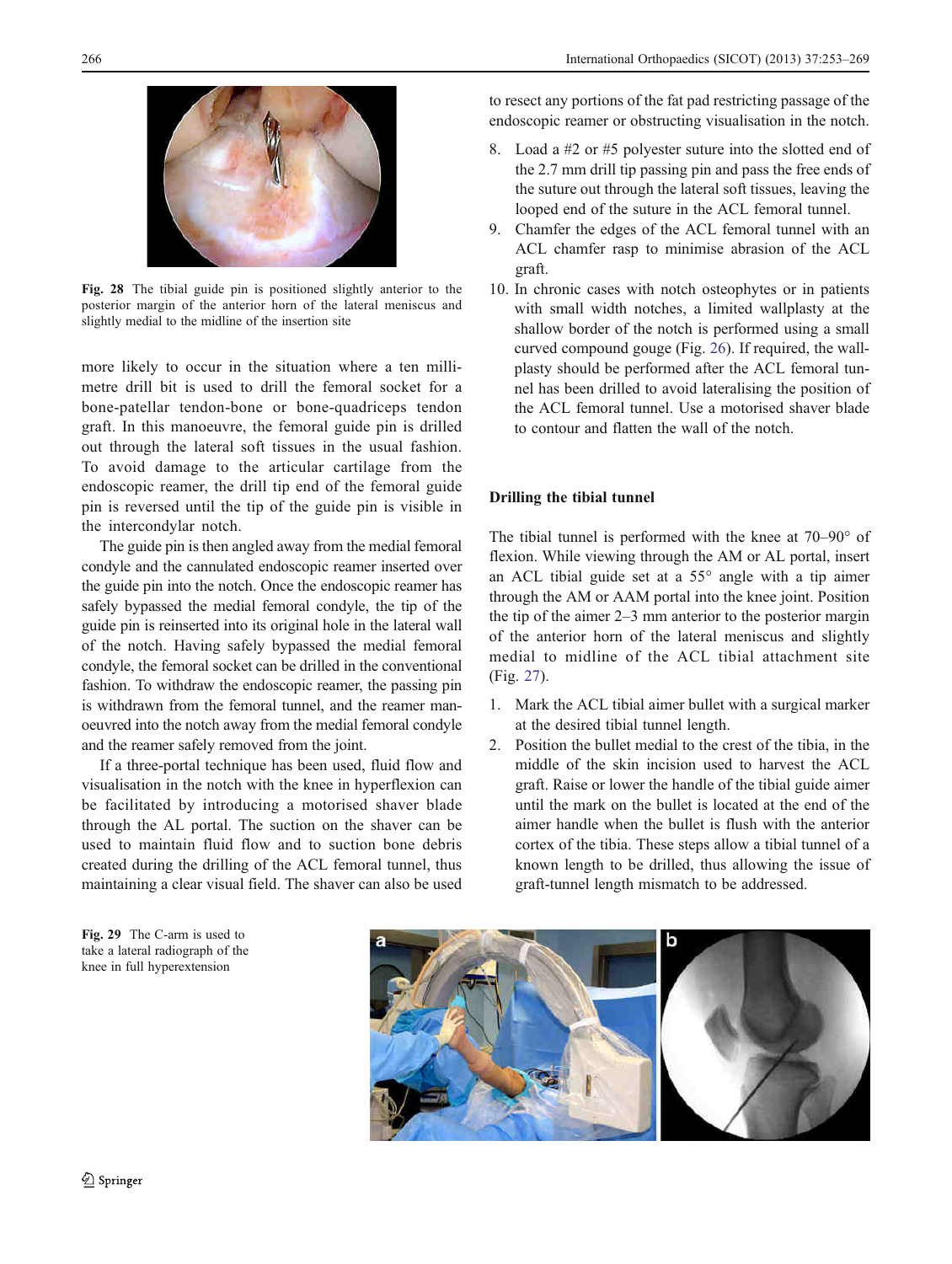<span id="page-13-0"></span>

Fig. 28 The tibial guide pin is positioned slightly anterior to the posterior margin of the anterior horn of the lateral meniscus and slightly medial to the midline of the insertion site

more likely to occur in the situation where a ten millimetre drill bit is used to drill the femoral socket for a bone-patellar tendon-bone or bone-quadriceps tendon graft. In this manoeuvre, the femoral guide pin is drilled out through the lateral soft tissues in the usual fashion. To avoid damage to the articular cartilage from the endoscopic reamer, the drill tip end of the femoral guide pin is reversed until the tip of the guide pin is visible in the intercondylar notch.

The guide pin is then angled away from the medial femoral condyle and the cannulated endoscopic reamer inserted over the guide pin into the notch. Once the endoscopic reamer has safely bypassed the medial femoral condyle, the tip of the guide pin is reinserted into its original hole in the lateral wall of the notch. Having safely bypassed the medial femoral condyle, the femoral socket can be drilled in the conventional fashion. To withdraw the endoscopic reamer, the passing pin is withdrawn from the femoral tunnel, and the reamer manoeuvred into the notch away from the medial femoral condyle and the reamer safely removed from the joint.

If a three-portal technique has been used, fluid flow and visualisation in the notch with the knee in hyperflexion can be facilitated by introducing a motorised shaver blade through the AL portal. The suction on the shaver can be used to maintain fluid flow and to suction bone debris created during the drilling of the ACL femoral tunnel, thus maintaining a clear visual field. The shaver can also be used

to resect any portions of the fat pad restricting passage of the endoscopic reamer or obstructing visualisation in the notch.

- 8. Load a #2 or #5 polyester suture into the slotted end of the 2.7 mm drill tip passing pin and pass the free ends of the suture out through the lateral soft tissues, leaving the looped end of the suture in the ACL femoral tunnel.
- 9. Chamfer the edges of the ACL femoral tunnel with an ACL chamfer rasp to minimise abrasion of the ACL graft.
- 10. In chronic cases with notch osteophytes or in patients with small width notches, a limited wallplasty at the shallow border of the notch is performed using a small curved compound gouge (Fig. [26](#page-12-0)). If required, the wallplasty should be performed after the ACL femoral tunnel has been drilled to avoid lateralising the position of the ACL femoral tunnel. Use a motorised shaver blade to contour and flatten the wall of the notch.

#### Drilling the tibial tunnel

The tibial tunnel is performed with the knee at 70–90° of flexion. While viewing through the AM or AL portal, insert an ACL tibial guide set at a 55° angle with a tip aimer through the AM or AAM portal into the knee joint. Position the tip of the aimer 2–3 mm anterior to the posterior margin of the anterior horn of the lateral meniscus and slightly medial to midline of the ACL tibial attachment site (Fig. [27](#page-12-0)).

- 1. Mark the ACL tibial aimer bullet with a surgical marker at the desired tibial tunnel length.
- 2. Position the bullet medial to the crest of the tibia, in the middle of the skin incision used to harvest the ACL graft. Raise or lower the handle of the tibial guide aimer until the mark on the bullet is located at the end of the aimer handle when the bullet is flush with the anterior cortex of the tibia. These steps allow a tibial tunnel of a known length to be drilled, thus allowing the issue of graft-tunnel length mismatch to be addressed.

Fig. 29 The C-arm is used to take a lateral radiograph of the knee in full hyperextension

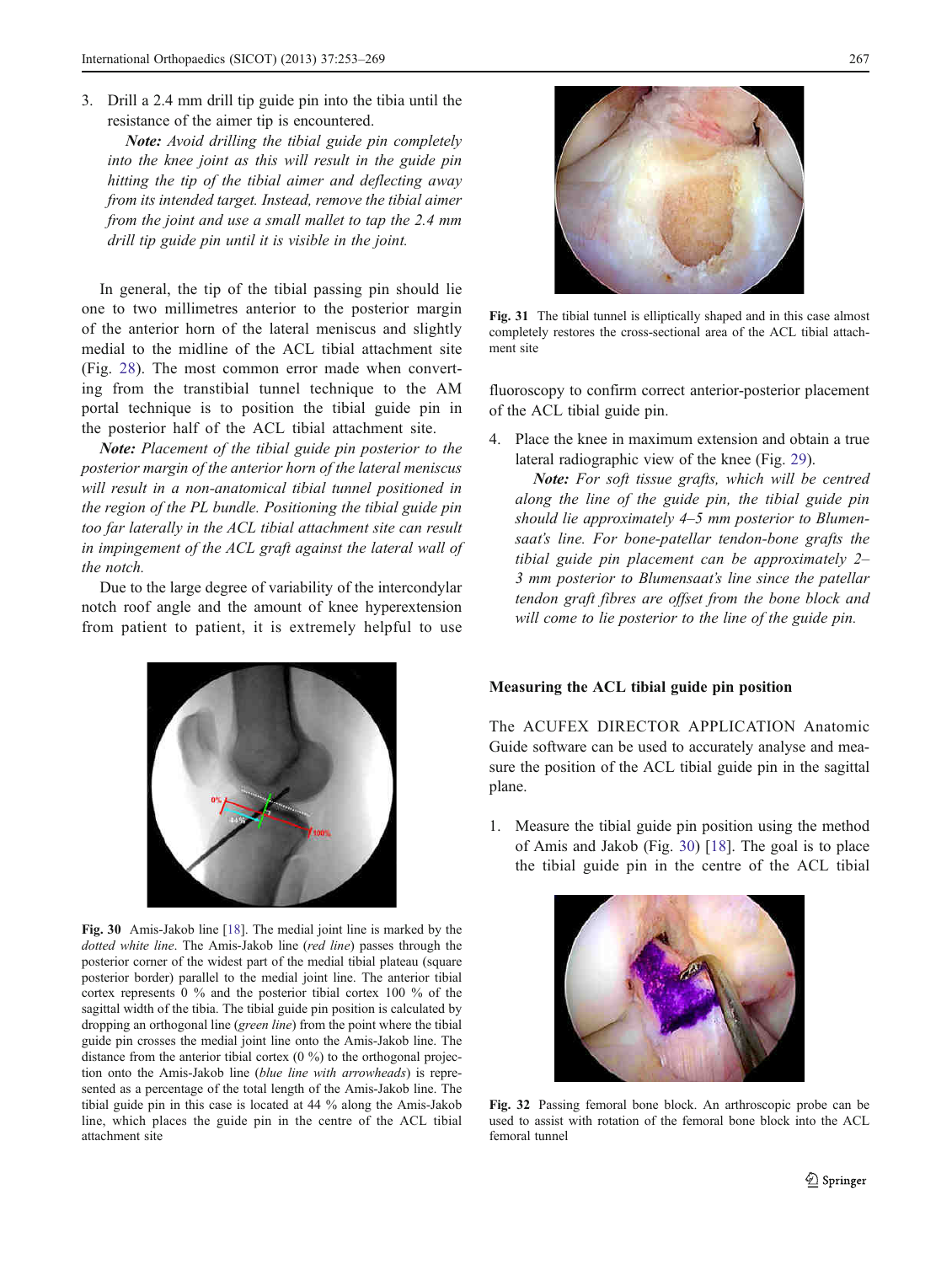<span id="page-14-0"></span>3. Drill a 2.4 mm drill tip guide pin into the tibia until the resistance of the aimer tip is encountered.

Note: Avoid drilling the tibial guide pin completely into the knee joint as this will result in the guide pin hitting the tip of the tibial aimer and deflecting away from its intended target. Instead, remove the tibial aimer from the joint and use a small mallet to tap the 2.4 mm drill tip guide pin until it is visible in the joint.

In general, the tip of the tibial passing pin should lie one to two millimetres anterior to the posterior margin of the anterior horn of the lateral meniscus and slightly medial to the midline of the ACL tibial attachment site (Fig. [28](#page-13-0)). The most common error made when converting from the transtibial tunnel technique to the AM portal technique is to position the tibial guide pin in the posterior half of the ACL tibial attachment site.

Note: Placement of the tibial guide pin posterior to the posterior margin of the anterior horn of the lateral meniscus will result in a non-anatomical tibial tunnel positioned in the region of the PL bundle. Positioning the tibial guide pin too far laterally in the ACL tibial attachment site can result in impingement of the ACL graft against the lateral wall of the notch.

Due to the large degree of variability of the intercondylar notch roof angle and the amount of knee hyperextension from patient to patient, it is extremely helpful to use



Fig. 30 Amis-Jakob line [\[18\]](#page-16-15). The medial joint line is marked by the dotted white line. The Amis-Jakob line (red line) passes through the posterior corner of the widest part of the medial tibial plateau (square posterior border) parallel to the medial joint line. The anterior tibial cortex represents 0 % and the posterior tibial cortex 100 % of the sagittal width of the tibia. The tibial guide pin position is calculated by dropping an orthogonal line (green line) from the point where the tibial guide pin crosses the medial joint line onto the Amis-Jakob line. The distance from the anterior tibial cortex  $(0, 0)$  to the orthogonal projection onto the Amis-Jakob line (blue line with arrowheads) is represented as a percentage of the total length of the Amis-Jakob line. The tibial guide pin in this case is located at 44 % along the Amis-Jakob line, which places the guide pin in the centre of the ACL tibial attachment site



Fig. 31 The tibial tunnel is elliptically shaped and in this case almost completely restores the cross-sectional area of the ACL tibial attachment site

fluoroscopy to confirm correct anterior-posterior placement of the ACL tibial guide pin.

4. Place the knee in maximum extension and obtain a true lateral radiographic view of the knee (Fig. [29\)](#page-13-0).

Note: For soft tissue grafts, which will be centred along the line of the guide pin, the tibial guide pin should lie approximately 4–5 mm posterior to Blumensaat's line. For bone-patellar tendon-bone grafts the tibial guide pin placement can be approximately 2– 3 mm posterior to Blumensaat's line since the patellar tendon graft fibres are offset from the bone block and will come to lie posterior to the line of the guide pin.

#### Measuring the ACL tibial guide pin position

The ACUFEX DIRECTOR APPLICATION Anatomic Guide software can be used to accurately analyse and measure the position of the ACL tibial guide pin in the sagittal plane.

1. Measure the tibial guide pin position using the method of Amis and Jakob (Fig. [30\)](#page-14-0) [[18\]](#page-16-15). The goal is to place the tibial guide pin in the centre of the ACL tibial



Fig. 32 Passing femoral bone block. An arthroscopic probe can be used to assist with rotation of the femoral bone block into the ACL femoral tunnel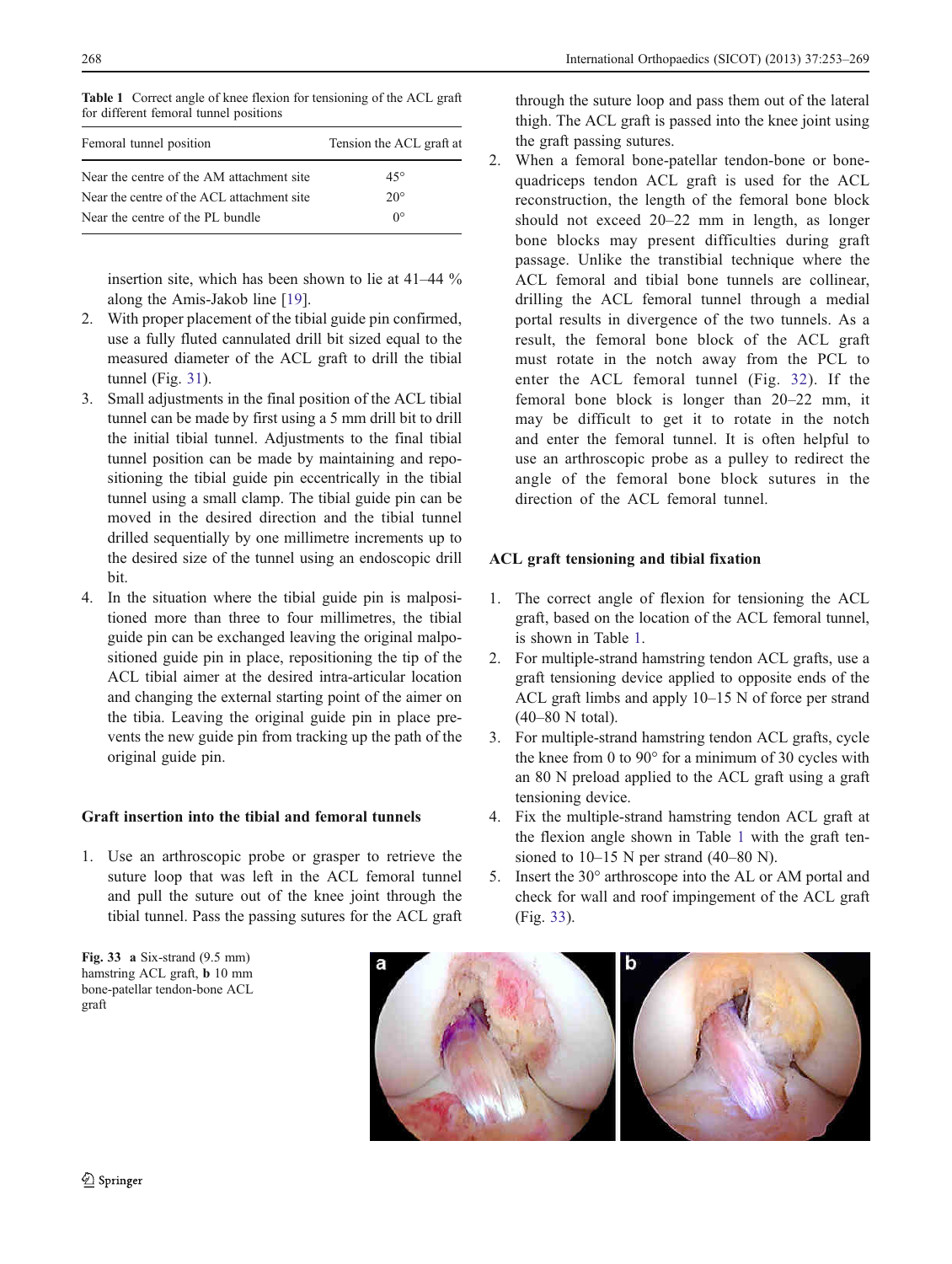<span id="page-15-0"></span>Table 1 Correct angle of knee flexion for tensioning of the ACL graft for different femoral tunnel positions

| Femoral tunnel position                    | Tension the ACL graft at |
|--------------------------------------------|--------------------------|
| Near the centre of the AM attachment site  | $45^{\circ}$             |
| Near the centre of the ACL attachment site | $20^{\circ}$             |
| Near the centre of the PL bundle           | $^{\circ}$               |

insertion site, which has been shown to lie at 41–44 % along the Amis-Jakob line [\[19](#page-16-16)].

- 2. With proper placement of the tibial guide pin confirmed, use a fully fluted cannulated drill bit sized equal to the measured diameter of the ACL graft to drill the tibial tunnel (Fig. [31\)](#page-14-0).
- 3. Small adjustments in the final position of the ACL tibial tunnel can be made by first using a 5 mm drill bit to drill the initial tibial tunnel. Adjustments to the final tibial tunnel position can be made by maintaining and repositioning the tibial guide pin eccentrically in the tibial tunnel using a small clamp. The tibial guide pin can be moved in the desired direction and the tibial tunnel drilled sequentially by one millimetre increments up to the desired size of the tunnel using an endoscopic drill bit.
- 4. In the situation where the tibial guide pin is malpositioned more than three to four millimetres, the tibial guide pin can be exchanged leaving the original malpositioned guide pin in place, repositioning the tip of the ACL tibial aimer at the desired intra-articular location and changing the external starting point of the aimer on the tibia. Leaving the original guide pin in place prevents the new guide pin from tracking up the path of the original guide pin.

## Graft insertion into the tibial and femoral tunnels

1. Use an arthroscopic probe or grasper to retrieve the suture loop that was left in the ACL femoral tunnel and pull the suture out of the knee joint through the tibial tunnel. Pass the passing sutures for the ACL graft

Fig. 33 a Six-strand (9.5 mm) hamstring ACL graft, b 10 mm bone-patellar tendon-bone ACL graft

through the suture loop and pass them out of the lateral thigh. The ACL graft is passed into the knee joint using the graft passing sutures.

2. When a femoral bone-patellar tendon-bone or bonequadriceps tendon ACL graft is used for the ACL reconstruction, the length of the femoral bone block should not exceed 20–22 mm in length, as longer bone blocks may present difficulties during graft passage. Unlike the transtibial technique where the ACL femoral and tibial bone tunnels are collinear, drilling the ACL femoral tunnel through a medial portal results in divergence of the two tunnels. As a result, the femoral bone block of the ACL graft must rotate in the notch away from the PCL to enter the ACL femoral tunnel (Fig. [32\)](#page-14-0). If the femoral bone block is longer than 20–22 mm, it may be difficult to get it to rotate in the notch and enter the femoral tunnel. It is often helpful to use an arthroscopic probe as a pulley to redirect the angle of the femoral bone block sutures in the direction of the ACL femoral tunnel.

## ACL graft tensioning and tibial fixation

- 1. The correct angle of flexion for tensioning the ACL graft, based on the location of the ACL femoral tunnel, is shown in Table [1.](#page-15-0)
- 2. For multiple-strand hamstring tendon ACL grafts, use a graft tensioning device applied to opposite ends of the ACL graft limbs and apply 10–15 N of force per strand (40–80 N total).
- 3. For multiple-strand hamstring tendon ACL grafts, cycle the knee from 0 to 90° for a minimum of 30 cycles with an 80 N preload applied to the ACL graft using a graft tensioning device.
- 4. Fix the multiple-strand hamstring tendon ACL graft at the flexion angle shown in Table [1](#page-15-0) with the graft tensioned to 10–15 N per strand (40–80 N).
- 5. Insert the 30° arthroscope into the AL or AM portal and check for wall and roof impingement of the ACL graft (Fig. [33](#page-15-0)).